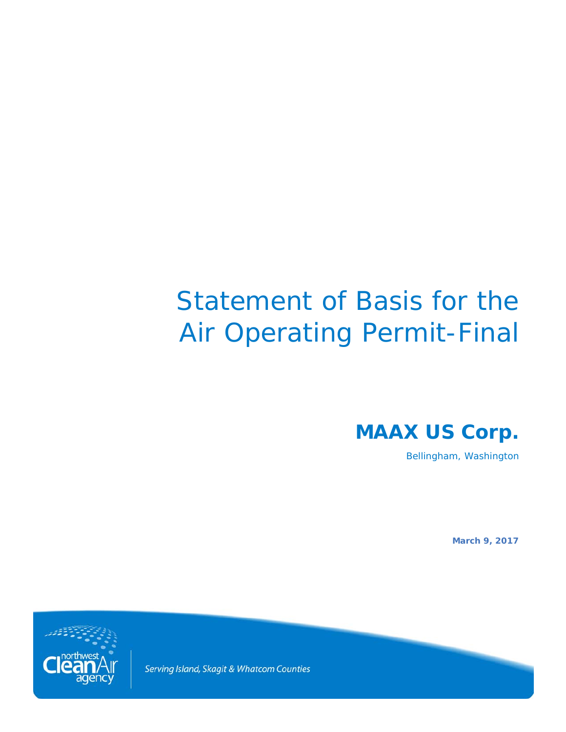# Statement of Basis for the Air Operating Permit-Final

**MAAX US Corp.**

Bellingham, Washington

**March 9, 2017**



Serving Island, Skagit & Whatcom Counties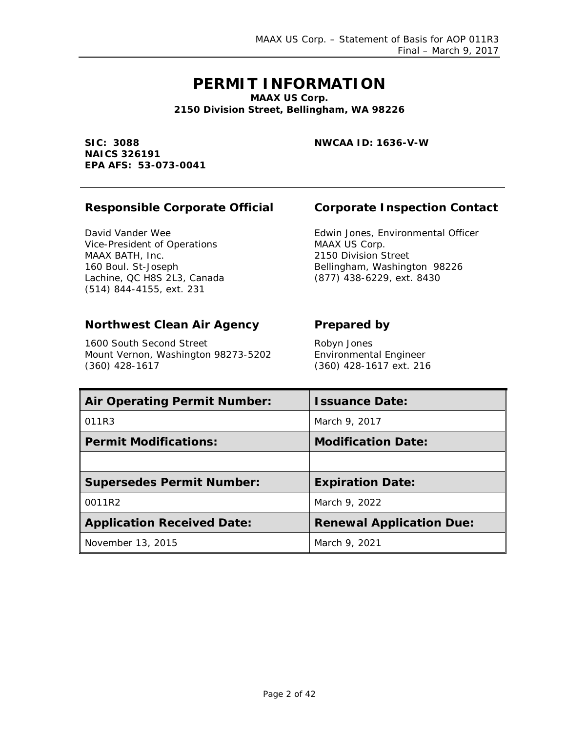# **PERMIT INFORMATION**

**MAAX US Corp. 2150 Division Street, Bellingham, WA 98226**

**SIC: 3088 NAICS 326191 EPA AFS: 53-073-0041** **NWCAA ID: 1636-V-W**

#### **Responsible Corporate Official Corporate Inspection Contact**

David Vander Wee Vice-President of Operations MAAX BATH, Inc. 160 Boul. St-Joseph Lachine, QC H8S 2L3, Canada (514) 844-4155, ext. 231

Edwin Jones, Environmental Officer MAAX US Corp. 2150 Division Street Bellingham, Washington 98226 (877) 438-6229, ext. 8430

#### **Northwest Clean Air Agency Prepared by**

1600 South Second Street Mount Vernon, Washington 98273-5202 (360) 428-1617

Robyn Jones Environmental Engineer (360) 428-1617 ext. 216

| <b>Air Operating Permit Number:</b> | <b>Issuance Date:</b>           |
|-------------------------------------|---------------------------------|
| 011R3                               | March 9, 2017                   |
| <b>Permit Modifications:</b>        | <b>Modification Date:</b>       |
|                                     |                                 |
| <b>Supersedes Permit Number:</b>    | <b>Expiration Date:</b>         |
| 0011R2                              | March 9, 2022                   |
| <b>Application Received Date:</b>   | <b>Renewal Application Due:</b> |
| November 13, 2015                   | March 9, 2021                   |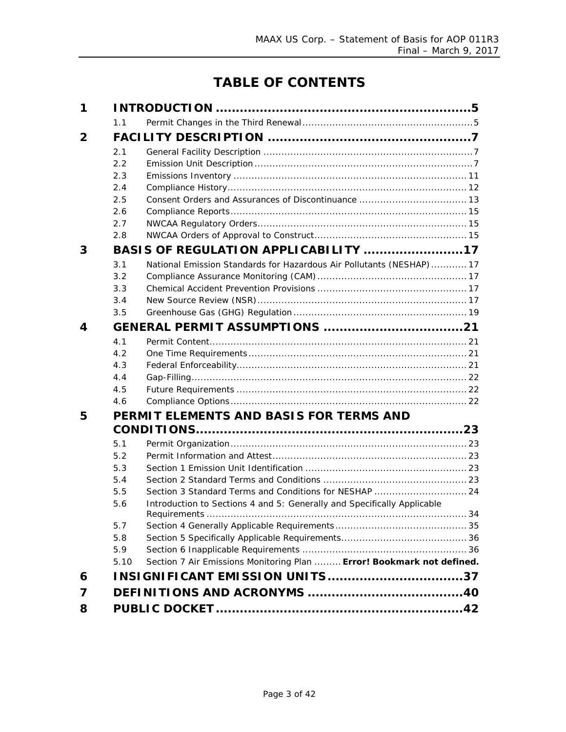# **TABLE OF CONTENTS**

| 1              |      |                                                                                   |
|----------------|------|-----------------------------------------------------------------------------------|
|                | 1.1  |                                                                                   |
| $\overline{2}$ |      |                                                                                   |
|                | 2.1  |                                                                                   |
|                | 2.2  |                                                                                   |
|                | 2.3  |                                                                                   |
|                | 2.4  |                                                                                   |
|                | 2.5  |                                                                                   |
|                | 2.6  |                                                                                   |
|                | 2.7  |                                                                                   |
|                | 2.8  |                                                                                   |
| 3              |      | BASIS OF REGULATION APPLICABILITY 17                                              |
|                | 3.1  | National Emission Standards for Hazardous Air Pollutants (NESHAP)  17             |
|                | 3.2  |                                                                                   |
|                | 3.3  |                                                                                   |
|                | 3.4  |                                                                                   |
|                | 3.5  |                                                                                   |
| 4              |      |                                                                                   |
|                | 4.1  |                                                                                   |
|                | 4.2  |                                                                                   |
|                | 4.3  |                                                                                   |
|                | 4.4  |                                                                                   |
|                | 4.5  |                                                                                   |
|                | 4.6  |                                                                                   |
| 5              |      | PERMIT ELEMENTS AND BASIS FOR TERMS AND                                           |
|                |      |                                                                                   |
|                | 5.1  |                                                                                   |
|                | 5.2  |                                                                                   |
|                | 5.3  |                                                                                   |
|                | 5.4  |                                                                                   |
|                | 5.5  | Section 3 Standard Terms and Conditions for NESHAP  24                            |
|                | 5.6  | Introduction to Sections 4 and 5: Generally and Specifically Applicable<br>. . 34 |
|                | 5.7  |                                                                                   |
|                | 5.8  |                                                                                   |
|                | 5.9  |                                                                                   |
|                | 5.10 | Section 7 Air Emissions Monitoring Plan  Error! Bookmark not defined.             |
| 6              |      | INSIGNIFICANT EMISSION UNITS37                                                    |
| 7              |      |                                                                                   |
| 8              |      |                                                                                   |
|                |      |                                                                                   |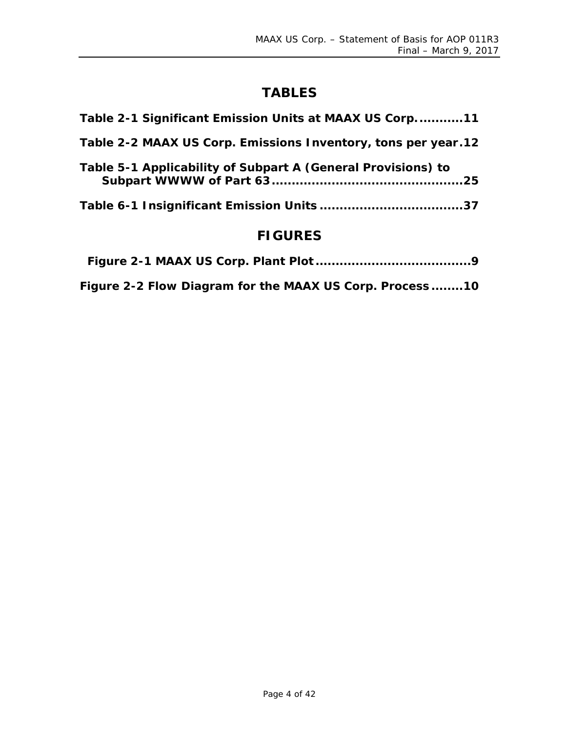# **TABLES**

# **FIGURES**

| Figure 2-2 Flow Diagram for the MAAX US Corp. Process10 |
|---------------------------------------------------------|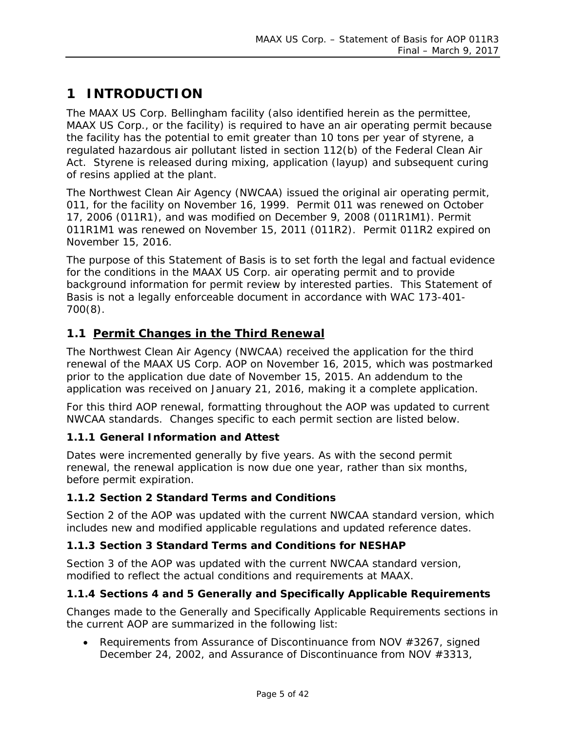# <span id="page-4-0"></span>**1 INTRODUCTION**

The MAAX US Corp. Bellingham facility (also identified herein as the permittee, MAAX US Corp., or the facility) is required to have an air operating permit because the facility has the potential to emit greater than 10 tons per year of styrene, a regulated hazardous air pollutant listed in section 112(b) of the Federal Clean Air Act. Styrene is released during mixing, application (layup) and subsequent curing of resins applied at the plant.

The Northwest Clean Air Agency (NWCAA) issued the original air operating permit, 011, for the facility on November 16, 1999. Permit 011 was renewed on October 17, 2006 (011R1), and was modified on December 9, 2008 (011R1M1). Permit 011R1M1 was renewed on November 15, 2011 (011R2). Permit 011R2 expired on November 15, 2016.

The purpose of this Statement of Basis is to set forth the legal and factual evidence for the conditions in the MAAX US Corp. air operating permit and to provide background information for permit review by interested parties. This Statement of Basis is not a legally enforceable document in accordance with WAC 173-401- 700(8).

#### <span id="page-4-1"></span>**1.1 Permit Changes in the Third Renewal**

The Northwest Clean Air Agency (NWCAA) received the application for the third renewal of the MAAX US Corp. AOP on November 16, 2015, which was postmarked prior to the application due date of November 15, 2015. An addendum to the application was received on January 21, 2016, making it a complete application.

For this third AOP renewal, formatting throughout the AOP was updated to current NWCAA standards. Changes specific to each permit section are listed below.

#### **1.1.1 General Information and Attest**

Dates were incremented generally by five years. As with the second permit renewal, the renewal application is now due one year, rather than six months, before permit expiration.

#### **1.1.2 Section 2 Standard Terms and Conditions**

Section 2 of the AOP was updated with the current NWCAA standard version, which includes new and modified applicable regulations and updated reference dates.

#### **1.1.3 Section 3 Standard Terms and Conditions for NESHAP**

Section 3 of the AOP was updated with the current NWCAA standard version, modified to reflect the actual conditions and requirements at MAAX.

#### **1.1.4 Sections 4 and 5 Generally and Specifically Applicable Requirements**

Changes made to the Generally and Specifically Applicable Requirements sections in the current AOP are summarized in the following list:

• Requirements from Assurance of Discontinuance from NOV #3267, signed December 24, 2002, and Assurance of Discontinuance from NOV #3313,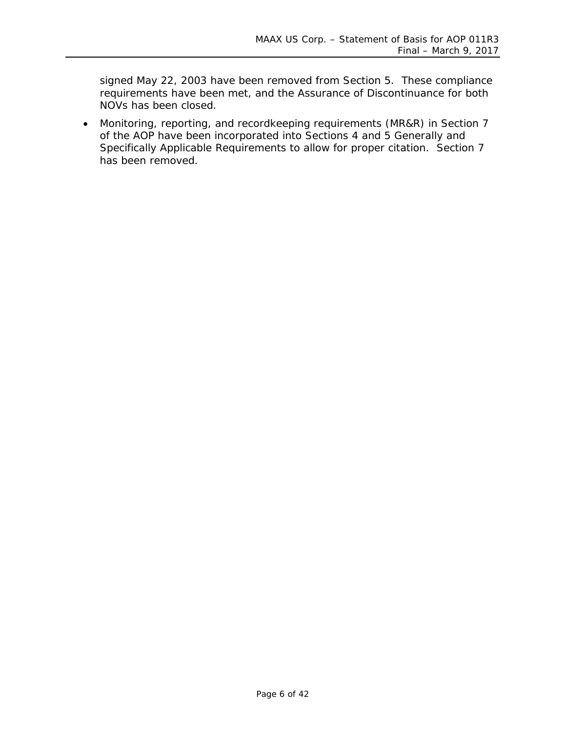signed May 22, 2003 have been removed from Section 5. These compliance requirements have been met, and the Assurance of Discontinuance for both NOVs has been closed.

• Monitoring, reporting, and recordkeeping requirements (MR&R) in Section 7 of the AOP have been incorporated into Sections 4 and 5 Generally and Specifically Applicable Requirements to allow for proper citation. Section 7 has been removed.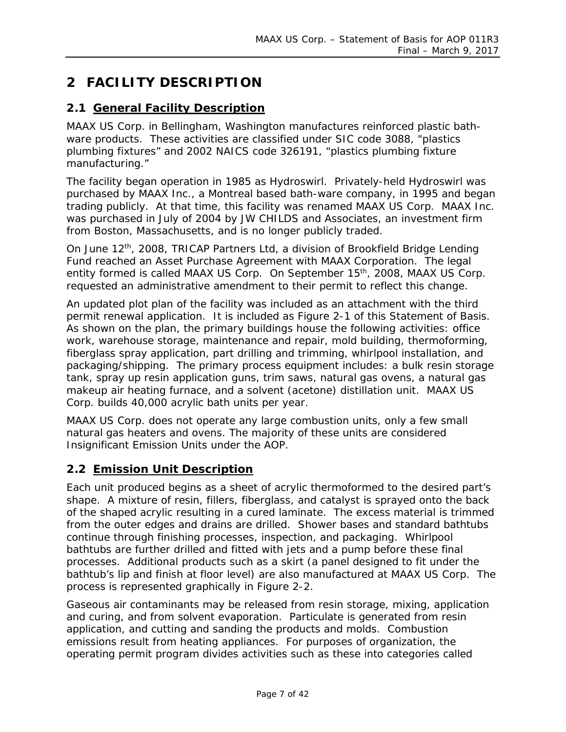# <span id="page-6-0"></span>**2 FACILITY DESCRIPTION**

#### <span id="page-6-1"></span>**2.1 General Facility Description**

MAAX US Corp. in Bellingham, Washington manufactures reinforced plastic bathware products. These activities are classified under SIC code 3088, "plastics plumbing fixtures" and 2002 NAICS code 326191, "plastics plumbing fixture manufacturing."

The facility began operation in 1985 as Hydroswirl. Privately-held Hydroswirl was purchased by MAAX Inc., a Montreal based bath-ware company, in 1995 and began trading publicly. At that time, this facility was renamed MAAX US Corp. MAAX Inc. was purchased in July of 2004 by JW CHILDS and Associates, an investment firm from Boston, Massachusetts, and is no longer publicly traded.

On June 12<sup>th</sup>, 2008, TRICAP Partners Ltd, a division of Brookfield Bridge Lending Fund reached an Asset Purchase Agreement with MAAX Corporation. The legal entity formed is called MAAX US Corp. On September 15<sup>th</sup>, 2008, MAAX US Corp. requested an administrative amendment to their permit to reflect this change.

An updated plot plan of the facility was included as an attachment with the third permit renewal application. It is included as [Figure 2-1](#page-8-0) of this Statement of Basis. As shown on the plan, the primary buildings house the following activities: office work, warehouse storage, maintenance and repair, mold building, thermoforming, fiberglass spray application, part drilling and trimming, whirlpool installation, and packaging/shipping. The primary process equipment includes: a bulk resin storage tank, spray up resin application guns, trim saws, natural gas ovens, a natural gas makeup air heating furnace, and a solvent (acetone) distillation unit. MAAX US Corp. builds 40,000 acrylic bath units per year.

MAAX US Corp. does not operate any large combustion units, only a few small natural gas heaters and ovens. The majority of these units are considered Insignificant Emission Units under the AOP.

#### <span id="page-6-2"></span>**2.2 Emission Unit Description**

Each unit produced begins as a sheet of acrylic thermoformed to the desired part's shape. A mixture of resin, fillers, fiberglass, and catalyst is sprayed onto the back of the shaped acrylic resulting in a cured laminate. The excess material is trimmed from the outer edges and drains are drilled. Shower bases and standard bathtubs continue through finishing processes, inspection, and packaging. Whirlpool bathtubs are further drilled and fitted with jets and a pump before these final processes. Additional products such as a skirt (a panel designed to fit under the bathtub's lip and finish at floor level) are also manufactured at MAAX US Corp. The process is represented graphically in [Figure 2-2.](#page-9-0)

Gaseous air contaminants may be released from resin storage, mixing, application and curing, and from solvent evaporation. Particulate is generated from resin application, and cutting and sanding the products and molds. Combustion emissions result from heating appliances. For purposes of organization, the operating permit program divides activities such as these into categories called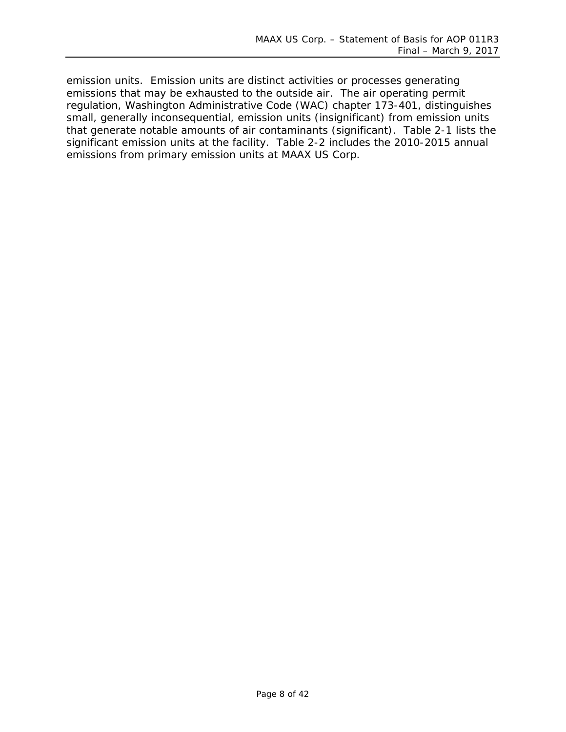emission units. Emission units are distinct activities or processes generating emissions that may be exhausted to the outside air. The air operating permit regulation, Washington Administrative Code (WAC) chapter 173-401, distinguishes small, generally inconsequential, emission units (insignificant) from emission units that generate notable amounts of air contaminants (significant). [Table 2-1](#page-10-1) lists the significant emission units at the facility. [Table 2-2](#page-11-1) includes the 2010-2015 annual emissions from primary emission units at MAAX US Corp.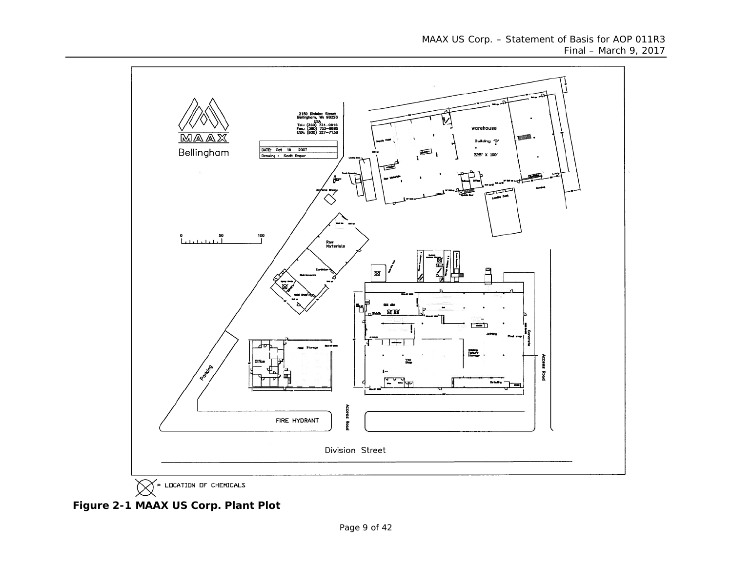

<span id="page-8-0"></span> **Figure 2-1 MAAX US Corp. Plant Plot**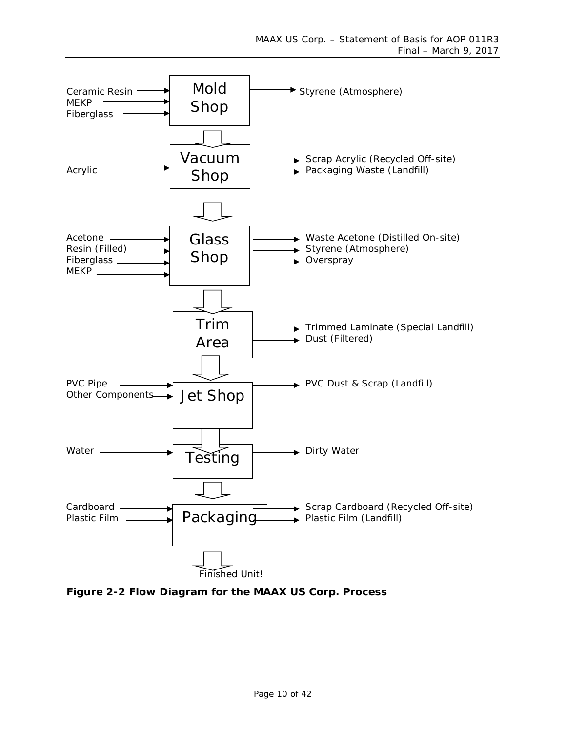

<span id="page-9-0"></span>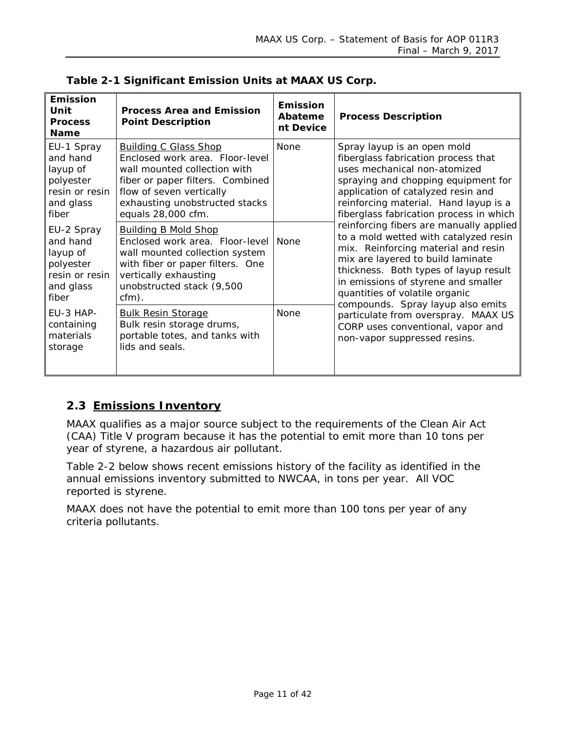| <b>Emission</b><br>Unit<br><b>Process</b><br><b>Name</b>                                | <b>Process Area and Emission</b><br><b>Point Description</b>                                                                                                                                                            | <b>Emission</b><br>Abateme<br>nt Device | <b>Process Description</b>                                                                                                                                                                                                                                                                                          |
|-----------------------------------------------------------------------------------------|-------------------------------------------------------------------------------------------------------------------------------------------------------------------------------------------------------------------------|-----------------------------------------|---------------------------------------------------------------------------------------------------------------------------------------------------------------------------------------------------------------------------------------------------------------------------------------------------------------------|
| EU-1 Spray<br>and hand<br>layup of<br>polyester<br>resin or resin<br>and glass<br>fiber | <b>Building C Glass Shop</b><br>Enclosed work area. Floor-level<br>wall mounted collection with<br>fiber or paper filters. Combined<br>flow of seven vertically<br>exhausting unobstructed stacks<br>equals 28,000 cfm. | <b>None</b>                             | Spray layup is an open mold<br>fiberglass fabrication process that<br>uses mechanical non-atomized<br>spraying and chopping equipment for<br>application of catalyzed resin and<br>reinforcing material. Hand layup is a<br>fiberglass fabrication process in which                                                 |
| EU-2 Spray<br>and hand<br>layup of<br>polyester<br>resin or resin<br>and glass<br>fiber | <b>Building B Mold Shop</b><br>Enclosed work area. Floor-level<br>wall mounted collection system<br>with fiber or paper filters. One<br>vertically exhausting<br>unobstructed stack (9,500<br>$cfm)$ .                  | <b>None</b>                             | reinforcing fibers are manually applied<br>to a mold wetted with catalyzed resin<br>mix. Reinforcing material and resin<br>mix are layered to build laminate<br>thickness. Both types of layup result<br>in emissions of styrene and smaller<br>quantities of volatile organic<br>compounds. Spray layup also emits |
| EU-3 HAP-<br>containing<br>materials<br>storage                                         | <b>Bulk Resin Storage</b><br>Bulk resin storage drums,<br>portable totes, and tanks with<br>lids and seals.                                                                                                             | <b>None</b>                             | particulate from overspray. MAAX US<br>CORP uses conventional, vapor and<br>non-vapor suppressed resins.                                                                                                                                                                                                            |

<span id="page-10-1"></span>

|  | Table 2-1 Significant Emission Units at MAAX US Corp. |  |  |  |  |  |
|--|-------------------------------------------------------|--|--|--|--|--|
|--|-------------------------------------------------------|--|--|--|--|--|

### <span id="page-10-0"></span>**2.3 Emissions Inventory**

MAAX qualifies as a major source subject to the requirements of the Clean Air Act (CAA) Title V program because it has the potential to emit more than 10 tons per year of styrene, a hazardous air pollutant.

[Table 2-2](#page-11-1) below shows recent emissions history of the facility as identified in the annual emissions inventory submitted to NWCAA, in tons per year. All VOC reported is styrene.

MAAX does not have the potential to emit more than 100 tons per year of any criteria pollutants.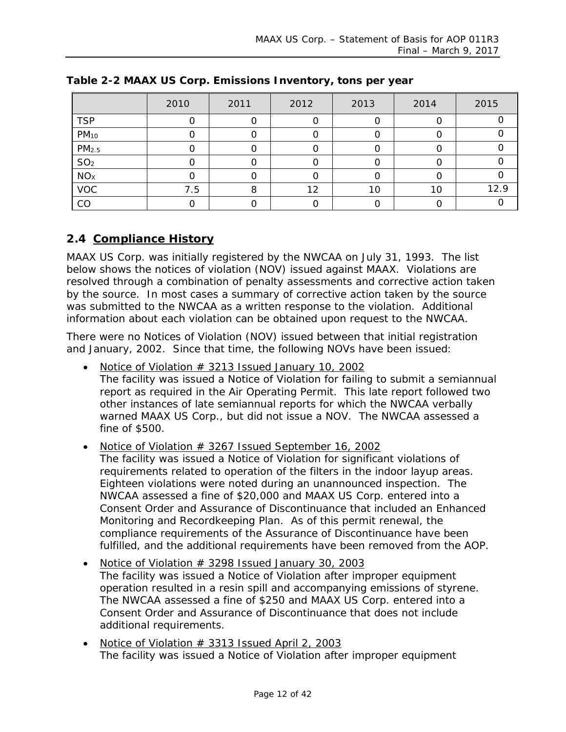|                   | 2010 | 2011 | 2012 | 2013 | 2014 | 2015 |
|-------------------|------|------|------|------|------|------|
| <b>TSP</b>        |      |      |      |      |      |      |
| $PM_{10}$         |      |      |      |      |      |      |
| PM <sub>2.5</sub> |      |      |      |      |      |      |
| SO <sub>2</sub>   |      |      |      |      |      |      |
| NO <sub>X</sub>   |      |      |      |      |      |      |
| <b>VOC</b>        | 7.5  | О    | 12   | 10   | 10   | 12.9 |
| CO                |      |      |      |      |      |      |

<span id="page-11-1"></span>**Table 2-2 MAAX US Corp. Emissions Inventory, tons per year**

#### <span id="page-11-0"></span>**2.4 Compliance History**

MAAX US Corp. was initially registered by the NWCAA on July 31, 1993. The list below shows the notices of violation (NOV) issued against MAAX. Violations are resolved through a combination of penalty assessments and corrective action taken by the source. In most cases a summary of corrective action taken by the source was submitted to the NWCAA as a written response to the violation. Additional information about each violation can be obtained upon request to the NWCAA.

There were no Notices of Violation (NOV) issued between that initial registration and January, 2002. Since that time, the following NOVs have been issued:

- Notice of Violation  $#$  3213 Issued January 10, 2002 The facility was issued a Notice of Violation for failing to submit a semiannual report as required in the Air Operating Permit. This late report followed two other instances of late semiannual reports for which the NWCAA verbally warned MAAX US Corp., but did not issue a NOV. The NWCAA assessed a fine of \$500.
- Notice of Violation # 3267 Issued September 16, 2002 The facility was issued a Notice of Violation for significant violations of requirements related to operation of the filters in the indoor layup areas. Eighteen violations were noted during an unannounced inspection. The NWCAA assessed a fine of \$20,000 and MAAX US Corp. entered into a Consent Order and Assurance of Discontinuance that included an Enhanced Monitoring and Recordkeeping Plan. As of this permit renewal, the compliance requirements of the Assurance of Discontinuance have been fulfilled, and the additional requirements have been removed from the AOP.
- Notice of Violation # 3298 Issued January 30, 2003 The facility was issued a Notice of Violation after improper equipment operation resulted in a resin spill and accompanying emissions of styrene. The NWCAA assessed a fine of \$250 and MAAX US Corp. entered into a Consent Order and Assurance of Discontinuance that does not include additional requirements.
- Notice of Violation  $#$  3313 Issued April 2, 2003 The facility was issued a Notice of Violation after improper equipment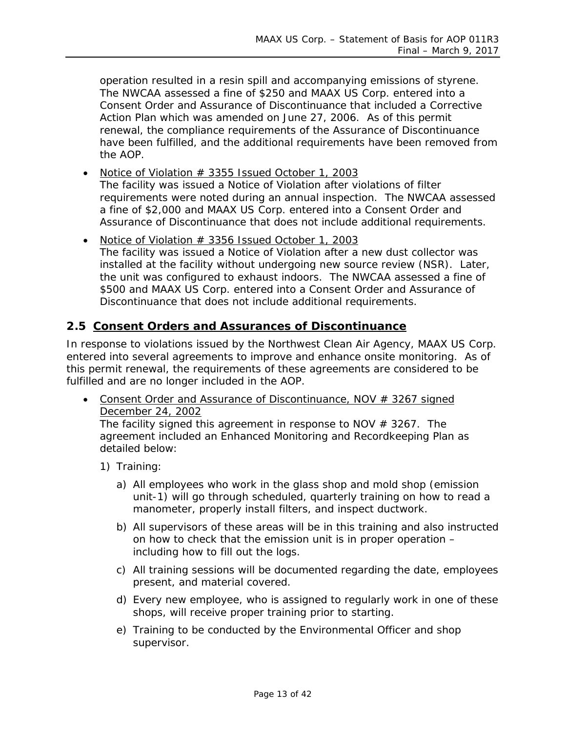operation resulted in a resin spill and accompanying emissions of styrene. The NWCAA assessed a fine of \$250 and MAAX US Corp. entered into a Consent Order and Assurance of Discontinuance that included a Corrective Action Plan which was amended on June 27, 2006. As of this permit renewal, the compliance requirements of the Assurance of Discontinuance have been fulfilled, and the additional requirements have been removed from the AOP.

- Notice of Violation # 3355 Issued October 1, 2003 The facility was issued a Notice of Violation after violations of filter requirements were noted during an annual inspection. The NWCAA assessed a fine of \$2,000 and MAAX US Corp. entered into a Consent Order and Assurance of Discontinuance that does not include additional requirements.
- Notice of Violation # 3356 Issued October 1, 2003 The facility was issued a Notice of Violation after a new dust collector was installed at the facility without undergoing new source review (NSR). Later, the unit was configured to exhaust indoors. The NWCAA assessed a fine of \$500 and MAAX US Corp. entered into a Consent Order and Assurance of Discontinuance that does not include additional requirements.

#### <span id="page-12-0"></span>**2.5 Consent Orders and Assurances of Discontinuance**

In response to violations issued by the Northwest Clean Air Agency, MAAX US Corp. entered into several agreements to improve and enhance onsite monitoring. As of this permit renewal, the requirements of these agreements are considered to be fulfilled and are no longer included in the AOP.

• Consent Order and Assurance of Discontinuance, NOV # 3267 signed December 24, 2002

The facility signed this agreement in response to NOV  $#$  3267. The agreement included an Enhanced Monitoring and Recordkeeping Plan as detailed below:

- 1) Training:
	- a) All employees who work in the glass shop and mold shop (emission unit-1) will go through scheduled, quarterly training on how to read a manometer, properly install filters, and inspect ductwork.
	- b) All supervisors of these areas will be in this training and also instructed on how to check that the emission unit is in proper operation – including how to fill out the logs.
	- c) All training sessions will be documented regarding the date, employees present, and material covered.
	- d) Every new employee, who is assigned to regularly work in one of these shops, will receive proper training prior to starting.
	- e) Training to be conducted by the Environmental Officer and shop supervisor.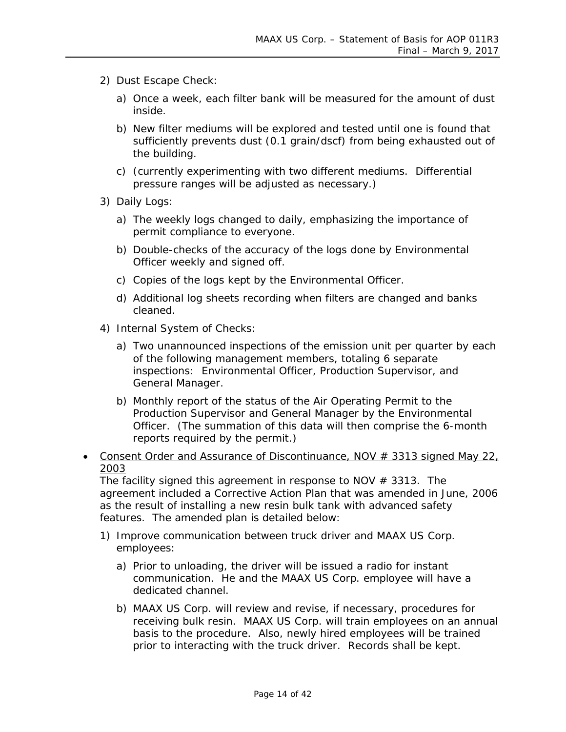- 2) Dust Escape Check:
	- a) Once a week, each filter bank will be measured for the amount of dust inside.
	- b) New filter mediums will be explored and tested until one is found that sufficiently prevents dust (0.1 grain/dscf) from being exhausted out of the building.
	- c) (currently experimenting with two different mediums. Differential pressure ranges will be adjusted as necessary.)
- 3) Daily Logs:
	- a) The weekly logs changed to daily, emphasizing the importance of permit compliance to everyone.
	- b) Double-checks of the accuracy of the logs done by Environmental Officer weekly and signed off.
	- c) Copies of the logs kept by the Environmental Officer.
	- d) Additional log sheets recording when filters are changed and banks cleaned.
- 4) Internal System of Checks:
	- a) Two unannounced inspections of the emission unit per quarter by each of the following management members, totaling 6 separate inspections: Environmental Officer, Production Supervisor, and General Manager.
	- b) Monthly report of the status of the Air Operating Permit to the Production Supervisor and General Manager by the Environmental Officer. (The summation of this data will then comprise the 6-month reports required by the permit.)
- Consent Order and Assurance of Discontinuance,  $NOV # 3313$  signed May  $22<sub>L</sub>$ 2003

The facility signed this agreement in response to NOV  $#$  3313. The agreement included a Corrective Action Plan that was amended in June, 2006 as the result of installing a new resin bulk tank with advanced safety features. The amended plan is detailed below:

- 1) Improve communication between truck driver and MAAX US Corp. employees:
	- a) Prior to unloading, the driver will be issued a radio for instant communication. He and the MAAX US Corp. employee will have a dedicated channel.
	- b) MAAX US Corp. will review and revise, if necessary, procedures for receiving bulk resin. MAAX US Corp. will train employees on an annual basis to the procedure. Also, newly hired employees will be trained prior to interacting with the truck driver. Records shall be kept.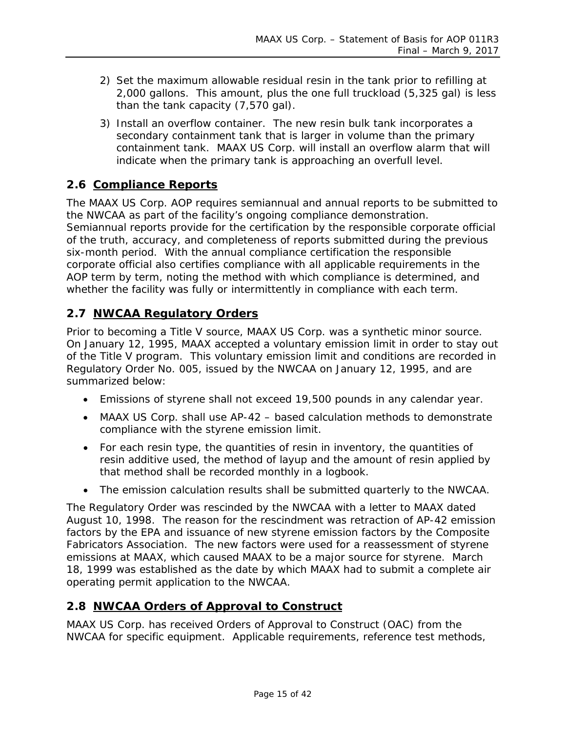- 2) Set the maximum allowable residual resin in the tank prior to refilling at 2,000 gallons. This amount, plus the one full truckload (5,325 gal) is less than the tank capacity (7,570 gal).
- 3) Install an overflow container. The new resin bulk tank incorporates a secondary containment tank that is larger in volume than the primary containment tank. MAAX US Corp. will install an overflow alarm that will indicate when the primary tank is approaching an overfull level.

#### <span id="page-14-0"></span>**2.6 Compliance Reports**

The MAAX US Corp. AOP requires semiannual and annual reports to be submitted to the NWCAA as part of the facility's ongoing compliance demonstration. Semiannual reports provide for the certification by the responsible corporate official of the truth, accuracy, and completeness of reports submitted during the previous six-month period. With the annual compliance certification the responsible corporate official also certifies compliance with all applicable requirements in the AOP term by term, noting the method with which compliance is determined, and whether the facility was fully or intermittently in compliance with each term.

#### <span id="page-14-1"></span>**2.7 NWCAA Regulatory Orders**

Prior to becoming a Title V source, MAAX US Corp. was a synthetic minor source. On January 12, 1995, MAAX accepted a voluntary emission limit in order to stay out of the Title V program. This voluntary emission limit and conditions are recorded in Regulatory Order No. 005, issued by the NWCAA on January 12, 1995, and are summarized below:

- Emissions of styrene shall not exceed 19,500 pounds in any calendar year.
- MAAX US Corp. shall use AP-42 based calculation methods to demonstrate compliance with the styrene emission limit.
- For each resin type, the quantities of resin in inventory, the quantities of resin additive used, the method of layup and the amount of resin applied by that method shall be recorded monthly in a logbook.
- The emission calculation results shall be submitted quarterly to the NWCAA.

The Regulatory Order was rescinded by the NWCAA with a letter to MAAX dated August 10, 1998. The reason for the rescindment was retraction of AP-42 emission factors by the EPA and issuance of new styrene emission factors by the Composite Fabricators Association. The new factors were used for a reassessment of styrene emissions at MAAX, which caused MAAX to be a major source for styrene. March 18, 1999 was established as the date by which MAAX had to submit a complete air operating permit application to the NWCAA.

#### <span id="page-14-2"></span>**2.8 NWCAA Orders of Approval to Construct**

MAAX US Corp. has received Orders of Approval to Construct (OAC) from the NWCAA for specific equipment. Applicable requirements, reference test methods,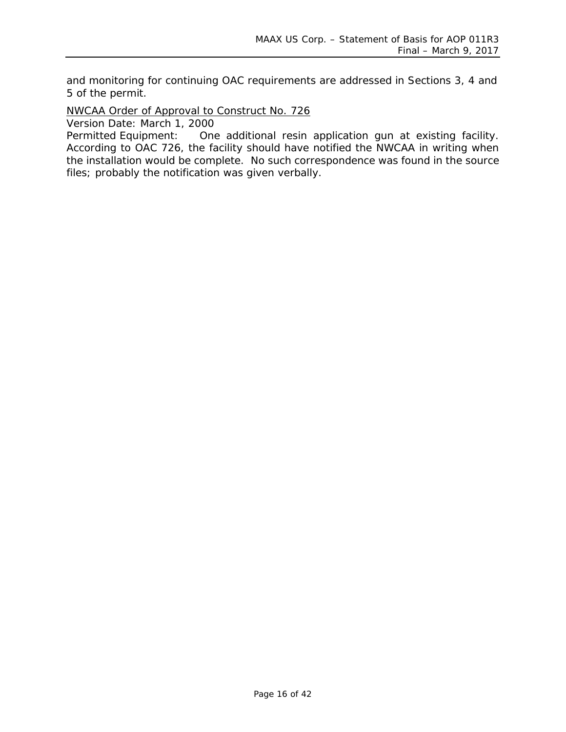and monitoring for continuing OAC requirements are addressed in Sections 3, 4 and 5 of the permit.

NWCAA Order of Approval to Construct No. 726

Version Date: March 1, 2000

Permitted Equipment: One additional resin application gun at existing facility. According to OAC 726, the facility should have notified the NWCAA in writing when the installation would be complete. No such correspondence was found in the source files; probably the notification was given verbally.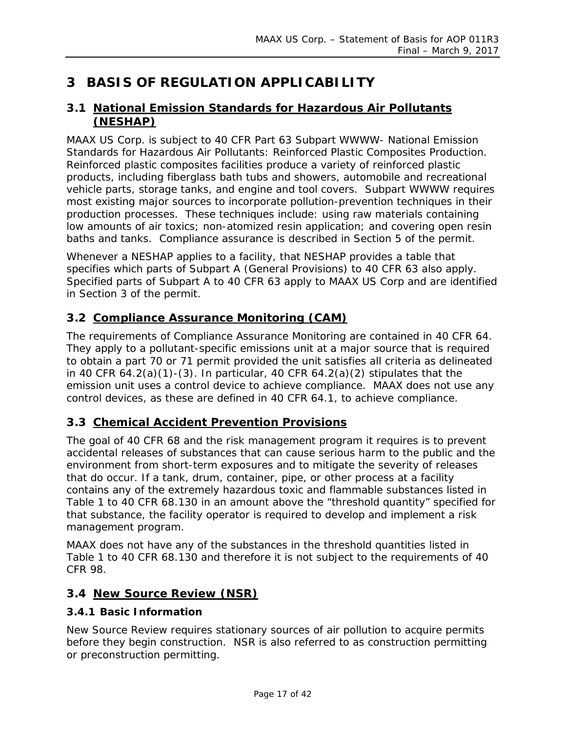# <span id="page-16-0"></span>**3 BASIS OF REGULATION APPLICABILITY**

#### <span id="page-16-1"></span>**3.1 National Emission Standards for Hazardous Air Pollutants (NESHAP)**

MAAX US Corp. is subject to 40 CFR Part 63 Subpart WWWW- National Emission Standards for Hazardous Air Pollutants: Reinforced Plastic Composites Production. Reinforced plastic composites facilities produce a variety of reinforced plastic products, including fiberglass bath tubs and showers, automobile and recreational vehicle parts, storage tanks, and engine and tool covers. Subpart WWWW requires most existing major sources to incorporate pollution-prevention techniques in their production processes. These techniques include: using raw materials containing low amounts of air toxics; non-atomized resin application; and covering open resin baths and tanks. Compliance assurance is described in Section 5 of the permit.

Whenever a NESHAP applies to a facility, that NESHAP provides a table that specifies which parts of Subpart A (General Provisions) to 40 CFR 63 also apply. Specified parts of Subpart A to 40 CFR 63 apply to MAAX US Corp and are identified in Section 3 of the permit.

#### <span id="page-16-2"></span>**3.2 Compliance Assurance Monitoring (CAM)**

The requirements of Compliance Assurance Monitoring are contained in 40 CFR 64. They apply to a pollutant-specific emissions unit at a major source that is required to obtain a part 70 or 71 permit provided the unit satisfies all criteria as delineated in 40 CFR  $64.2(a)(1)-(3)$ . In particular, 40 CFR  $64.2(a)(2)$  stipulates that the emission unit uses a control device to achieve compliance. MAAX does not use any control devices, as these are defined in 40 CFR 64.1, to achieve compliance.

#### <span id="page-16-3"></span>**3.3 Chemical Accident Prevention Provisions**

The goal of 40 CFR 68 and the risk management program it requires is to prevent accidental releases of substances that can cause serious harm to the public and the environment from short-term exposures and to mitigate the severity of releases that do occur. If a tank, drum, container, pipe, or other process at a facility contains any of the extremely hazardous toxic and flammable substances listed in Table 1 to 40 CFR 68.130 in an amount above the "threshold quantity" specified for that substance, the facility operator is required to develop and implement a risk management program.

MAAX does not have any of the substances in the threshold quantities listed in Table 1 to 40 CFR 68.130 and therefore it is not subject to the requirements of 40 CFR 98.

#### <span id="page-16-4"></span>**3.4 New Source Review (NSR)**

#### **3.4.1 Basic Information**

New Source Review requires stationary sources of air pollution to acquire permits before they begin construction. NSR is also referred to as construction permitting or preconstruction permitting.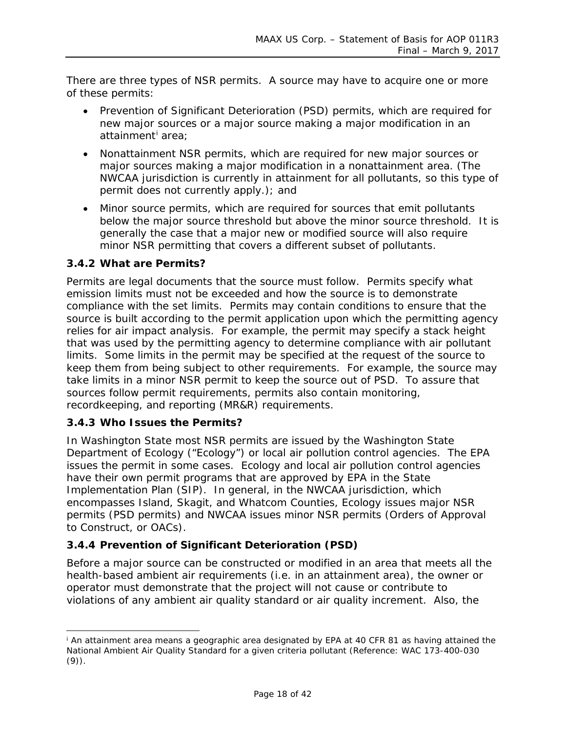There are three types of NSR permits. A source may have to acquire one or more of these permits:

- Prevention of Significant Deterioration (PSD) permits, which are required for new major sources or a major source making a major modification in an atta[i](#page-17-0)nment<sup>i</sup> area;
- Nonattainment NSR permits, which are required for new major sources or major sources making a major modification in a nonattainment area. (The NWCAA jurisdiction is currently in attainment for all pollutants, so this type of permit does not currently apply.); and
- Minor source permits, which are required for sources that emit pollutants below the major source threshold but above the minor source threshold. It is generally the case that a major new or modified source will also require minor NSR permitting that covers a different subset of pollutants.

#### **3.4.2 What are Permits?**

Permits are legal documents that the source must follow. Permits specify what emission limits must not be exceeded and how the source is to demonstrate compliance with the set limits. Permits may contain conditions to ensure that the source is built according to the permit application upon which the permitting agency relies for air impact analysis. For example, the permit may specify a stack height that was used by the permitting agency to determine compliance with air pollutant limits. Some limits in the permit may be specified at the request of the source to keep them from being subject to other requirements. For example, the source may take limits in a minor NSR permit to keep the source out of PSD. To assure that sources follow permit requirements, permits also contain monitoring, recordkeeping, and reporting (MR&R) requirements.

#### **3.4.3 Who Issues the Permits?**

In Washington State most NSR permits are issued by the Washington State Department of Ecology ("Ecology") or local air pollution control agencies. The EPA issues the permit in some cases. Ecology and local air pollution control agencies have their own permit programs that are approved by EPA in the State Implementation Plan (SIP). In general, in the NWCAA jurisdiction, which encompasses Island, Skagit, and Whatcom Counties, Ecology issues major NSR permits (PSD permits) and NWCAA issues minor NSR permits (Orders of Approval to Construct, or OACs).

#### **3.4.4 Prevention of Significant Deterioration (PSD)**

Before a major source can be constructed or modified in an area that meets all the health-based ambient air requirements (i.e. in an attainment area), the owner or operator must demonstrate that the project will not cause or contribute to violations of any ambient air quality standard or air quality increment. Also, the

<span id="page-17-0"></span><sup>&</sup>lt;sup>i</sup> An attainment area means a geographic area designated by EPA at 40 CFR 81 as having attained the National Ambient Air Quality Standard for a given criteria pollutant (Reference: WAC 173-400-030 (9)).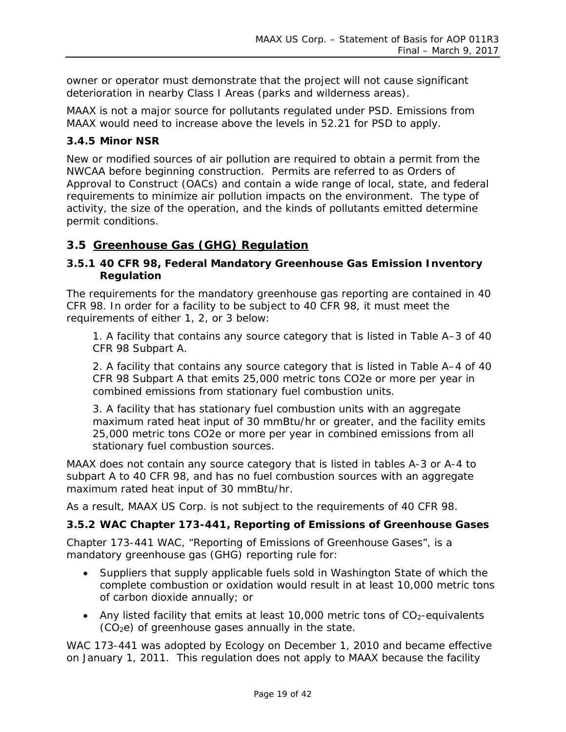owner or operator must demonstrate that the project will not cause significant deterioration in nearby Class I Areas (parks and wilderness areas).

MAAX is not a major source for pollutants regulated under PSD. Emissions from MAAX would need to increase above the levels in 52.21 for PSD to apply.

#### **3.4.5 Minor NSR**

New or modified sources of air pollution are required to obtain a permit from the NWCAA before beginning construction. Permits are referred to as Orders of Approval to Construct (OACs) and contain a wide range of local, state, and federal requirements to minimize air pollution impacts on the environment. The type of activity, the size of the operation, and the kinds of pollutants emitted determine permit conditions.

#### <span id="page-18-0"></span>**3.5 Greenhouse Gas (GHG) Regulation**

#### **3.5.1 40 CFR 98, Federal Mandatory Greenhouse Gas Emission Inventory Regulation**

The requirements for the mandatory greenhouse gas reporting are contained in 40 CFR 98. In order for a facility to be subject to 40 CFR 98, it must meet the requirements of either 1, 2, or 3 below:

1. A facility that contains any source category that is listed in Table A–3 of 40 CFR 98 Subpart A.

2. A facility that contains any source category that is listed in Table A–4 of 40 CFR 98 Subpart A that emits 25,000 metric tons CO2e or more per year in combined emissions from stationary fuel combustion units.

3. A facility that has stationary fuel combustion units with an aggregate maximum rated heat input of 30 mmBtu/hr or greater, and the facility emits 25,000 metric tons CO2e or more per year in combined emissions from all stationary fuel combustion sources.

MAAX does not contain any source category that is listed in tables A-3 or A-4 to subpart A to 40 CFR 98, and has no fuel combustion sources with an aggregate maximum rated heat input of 30 mmBtu/hr.

As a result, MAAX US Corp. is not subject to the requirements of 40 CFR 98.

#### **3.5.2 WAC Chapter 173-441, Reporting of Emissions of Greenhouse Gases**

Chapter 173-441 WAC, "Reporting of Emissions of Greenhouse Gases", is a mandatory greenhouse gas (GHG) reporting rule for:

- Suppliers that supply applicable fuels sold in Washington State of which the complete combustion or oxidation would result in at least 10,000 metric tons of carbon dioxide annually; or
- Any listed facility that emits at least 10,000 metric tons of  $CO<sub>2</sub>$ -equivalents  $(CO<sub>2</sub>e)$  of greenhouse gases annually in the state.

WAC 173-441 was adopted by Ecology on December 1, 2010 and became effective on January 1, 2011. This regulation does not apply to MAAX because the facility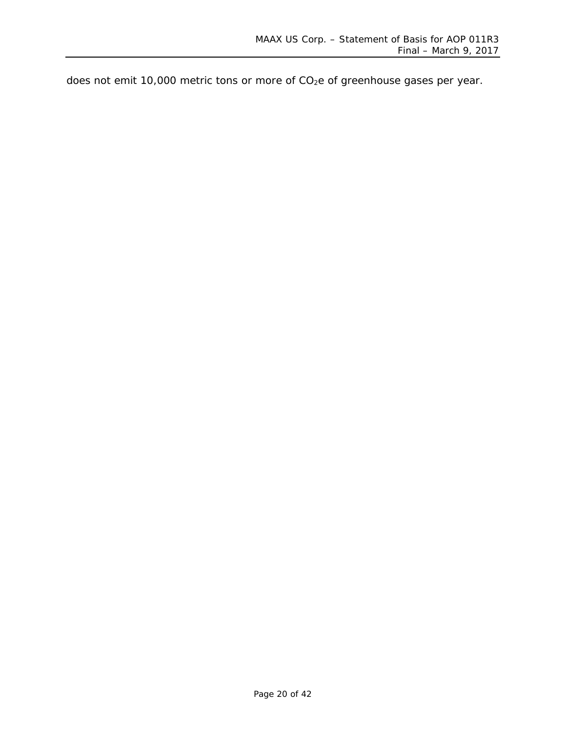does not emit 10,000 metric tons or more of CO<sub>2</sub>e of greenhouse gases per year.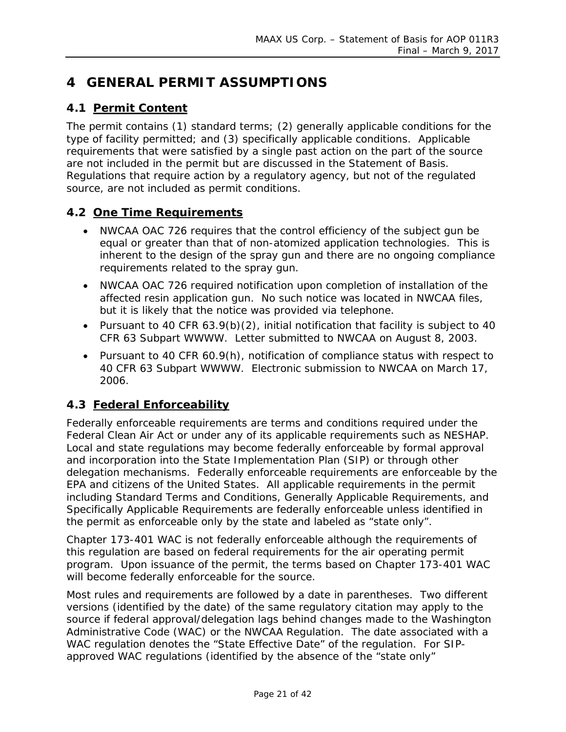# <span id="page-20-0"></span>**4 GENERAL PERMIT ASSUMPTIONS**

#### <span id="page-20-1"></span>**4.1 Permit Content**

The permit contains (1) standard terms; (2) generally applicable conditions for the type of facility permitted; and (3) specifically applicable conditions. Applicable requirements that were satisfied by a single past action on the part of the source are not included in the permit but are discussed in the Statement of Basis. Regulations that require action by a regulatory agency, but not of the regulated source, are not included as permit conditions.

#### <span id="page-20-2"></span>**4.2 One Time Requirements**

- NWCAA OAC 726 requires that the control efficiency of the subject gun be equal or greater than that of non-atomized application technologies. This is inherent to the design of the spray gun and there are no ongoing compliance requirements related to the spray gun.
- NWCAA OAC 726 required notification upon completion of installation of the affected resin application gun. No such notice was located in NWCAA files, but it is likely that the notice was provided via telephone.
- Pursuant to 40 CFR 63.9(b)(2), initial notification that facility is subject to 40 CFR 63 Subpart WWWW. Letter submitted to NWCAA on August 8, 2003.
- Pursuant to 40 CFR 60.9(h), notification of compliance status with respect to 40 CFR 63 Subpart WWWW. Electronic submission to NWCAA on March 17, 2006.

#### <span id="page-20-3"></span>**4.3 Federal Enforceability**

Federally enforceable requirements are terms and conditions required under the Federal Clean Air Act or under any of its applicable requirements such as NESHAP. Local and state regulations may become federally enforceable by formal approval and incorporation into the State Implementation Plan (SIP) or through other delegation mechanisms. Federally enforceable requirements are enforceable by the EPA and citizens of the United States. All applicable requirements in the permit including Standard Terms and Conditions, Generally Applicable Requirements, and Specifically Applicable Requirements are federally enforceable unless identified in the permit as enforceable only by the state and labeled as "state only".

Chapter 173-401 WAC is not federally enforceable although the requirements of this regulation are based on federal requirements for the air operating permit program. Upon issuance of the permit, the terms based on Chapter 173-401 WAC will become federally enforceable for the source.

Most rules and requirements are followed by a date in parentheses. Two different versions (identified by the date) of the same regulatory citation may apply to the source if federal approval/delegation lags behind changes made to the Washington Administrative Code (WAC) or the NWCAA Regulation. The date associated with a WAC regulation denotes the "State Effective Date" of the regulation. For SIPapproved WAC regulations (identified by the absence of the "state only"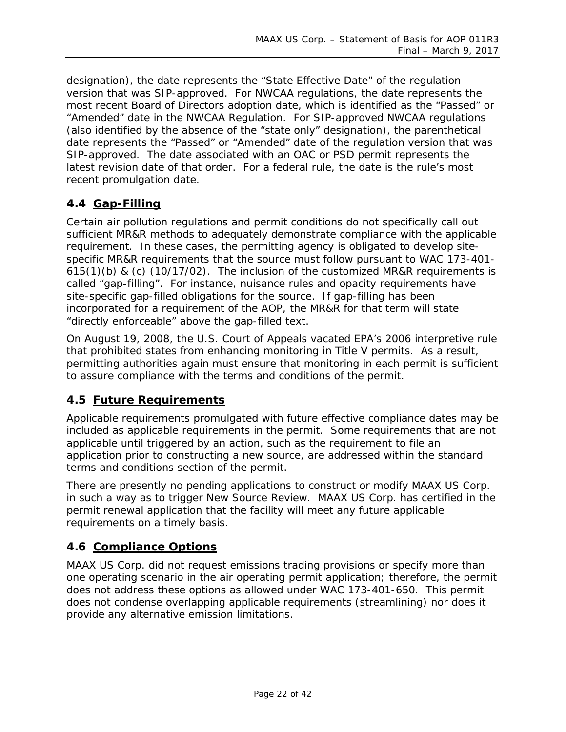designation), the date represents the "State Effective Date" of the regulation version that was SIP-approved. For NWCAA regulations, the date represents the most recent Board of Directors adoption date, which is identified as the "Passed" or "Amended" date in the NWCAA Regulation. For SIP-approved NWCAA regulations (also identified by the absence of the "state only" designation), the parenthetical date represents the "Passed" or "Amended" date of the regulation version that was SIP-approved. The date associated with an OAC or PSD permit represents the latest revision date of that order. For a federal rule, the date is the rule's most recent promulgation date.

#### <span id="page-21-0"></span>**4.4 Gap-Filling**

Certain air pollution regulations and permit conditions do not specifically call out sufficient MR&R methods to adequately demonstrate compliance with the applicable requirement. In these cases, the permitting agency is obligated to develop sitespecific MR&R requirements that the source must follow pursuant to WAC 173-401- 615(1)(b) & (c) (10/17/02). The inclusion of the customized MR&R requirements is called "gap-filling". For instance, nuisance rules and opacity requirements have site-specific gap-filled obligations for the source. If gap-filling has been incorporated for a requirement of the AOP, the MR&R for that term will state "directly enforceable" above the gap-filled text.

On August 19, 2008, the U.S. Court of Appeals vacated EPA's 2006 interpretive rule that prohibited states from enhancing monitoring in Title V permits. As a result, permitting authorities again must ensure that monitoring in each permit is sufficient to assure compliance with the terms and conditions of the permit.

#### <span id="page-21-1"></span>**4.5 Future Requirements**

Applicable requirements promulgated with future effective compliance dates may be included as applicable requirements in the permit. Some requirements that are not applicable until triggered by an action, such as the requirement to file an application prior to constructing a new source, are addressed within the standard terms and conditions section of the permit.

There are presently no pending applications to construct or modify MAAX US Corp. in such a way as to trigger New Source Review. MAAX US Corp. has certified in the permit renewal application that the facility will meet any future applicable requirements on a timely basis.

#### <span id="page-21-2"></span>**4.6 Compliance Options**

MAAX US Corp. did not request emissions trading provisions or specify more than one operating scenario in the air operating permit application; therefore, the permit does not address these options as allowed under WAC 173-401-650. This permit does not condense overlapping applicable requirements (streamlining) nor does it provide any alternative emission limitations.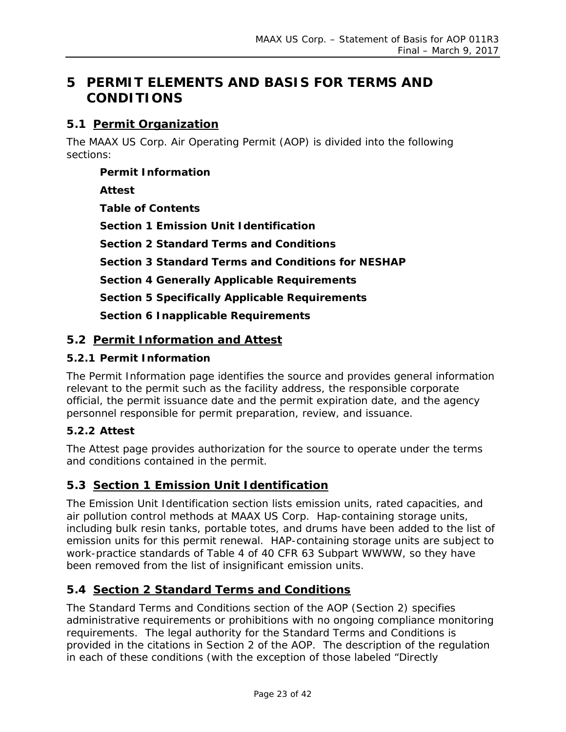# <span id="page-22-0"></span>**5 PERMIT ELEMENTS AND BASIS FOR TERMS AND CONDITIONS**

#### <span id="page-22-1"></span>**5.1 Permit Organization**

The MAAX US Corp. Air Operating Permit (AOP) is divided into the following sections:

**Permit Information Attest Table of Contents Section 1 Emission Unit Identification Section 2 Standard Terms and Conditions Section 3 Standard Terms and Conditions for NESHAP Section 4 Generally Applicable Requirements Section 5 Specifically Applicable Requirements Section 6 Inapplicable Requirements**

#### <span id="page-22-2"></span>**5.2 Permit Information and Attest**

#### **5.2.1 Permit Information**

The Permit Information page identifies the source and provides general information relevant to the permit such as the facility address, the responsible corporate official, the permit issuance date and the permit expiration date, and the agency personnel responsible for permit preparation, review, and issuance.

#### **5.2.2 Attest**

The Attest page provides authorization for the source to operate under the terms and conditions contained in the permit.

### <span id="page-22-3"></span>**5.3 Section 1 Emission Unit Identification**

The Emission Unit Identification section lists emission units, rated capacities, and air pollution control methods at MAAX US Corp. Hap-containing storage units, including bulk resin tanks, portable totes, and drums have been added to the list of emission units for this permit renewal. HAP-containing storage units are subject to work-practice standards of Table 4 of 40 CFR 63 Subpart WWWW, so they have been removed from the list of insignificant emission units.

#### <span id="page-22-4"></span>**5.4 Section 2 Standard Terms and Conditions**

The Standard Terms and Conditions section of the AOP (Section 2) specifies administrative requirements or prohibitions with no ongoing compliance monitoring requirements. The legal authority for the Standard Terms and Conditions is provided in the citations in Section 2 of the AOP. The description of the regulation in each of these conditions (with the exception of those labeled "Directly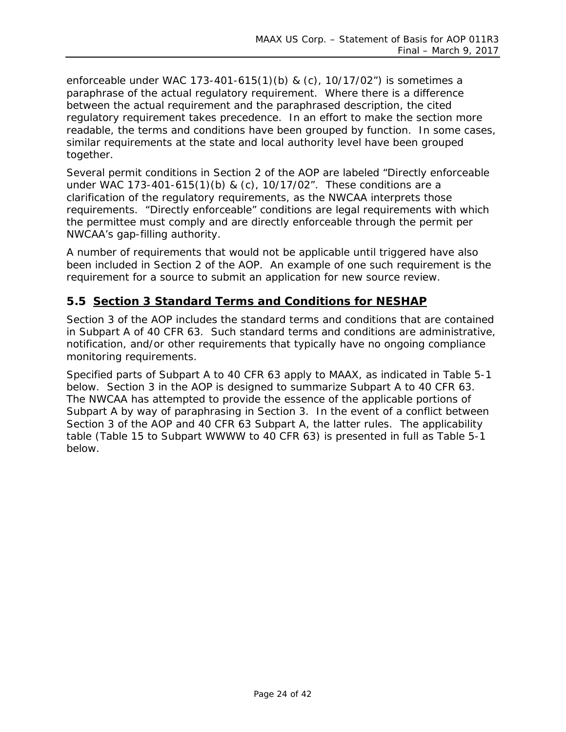enforceable under WAC 173-401-615(1)(b) & (c), 10/17/02") is sometimes a paraphrase of the actual regulatory requirement. Where there is a difference between the actual requirement and the paraphrased description, the cited regulatory requirement takes precedence. In an effort to make the section more readable, the terms and conditions have been grouped by function. In some cases, similar requirements at the state and local authority level have been grouped together.

Several permit conditions in Section 2 of the AOP are labeled "Directly enforceable under WAC 173-401-615(1)(b) & (c), 10/17/02". These conditions are a clarification of the regulatory requirements, as the NWCAA interprets those requirements. "Directly enforceable" conditions are legal requirements with which the permittee must comply and are directly enforceable through the permit per NWCAA's gap-filling authority.

A number of requirements that would not be applicable until triggered have also been included in Section 2 of the AOP. An example of one such requirement is the requirement for a source to submit an application for new source review.

#### <span id="page-23-0"></span>**5.5 Section 3 Standard Terms and Conditions for NESHAP**

Section 3 of the AOP includes the standard terms and conditions that are contained in Subpart A of 40 CFR 63. Such standard terms and conditions are administrative, notification, and/or other requirements that typically have no ongoing compliance monitoring requirements.

Specified parts of Subpart A to 40 CFR 63 apply to MAAX, as indicated in [Table 5-1](#page-24-0) below. Section 3 in the AOP is designed to summarize Subpart A to 40 CFR 63. The NWCAA has attempted to provide the essence of the applicable portions of Subpart A by way of paraphrasing in Section 3. In the event of a conflict between Section 3 of the AOP and 40 CFR 63 Subpart A, the latter rules. The applicability table (Table 15 to Subpart WWWW to 40 CFR 63) is presented in full as [Table 5-1](#page-24-0) below.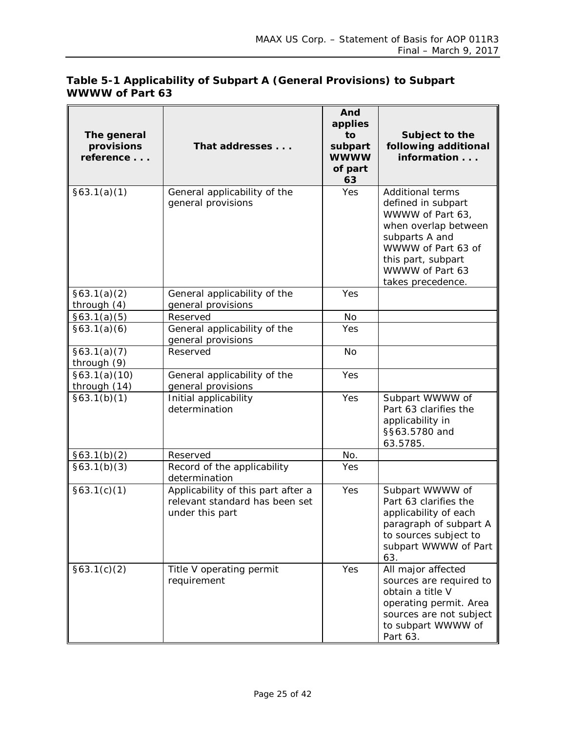<span id="page-24-0"></span>

|                 | Table 5-1 Applicability of Subpart A (General Provisions) to Subpart |
|-----------------|----------------------------------------------------------------------|
| WWWW of Part 63 |                                                                      |

| The general<br>provisions<br>reference | That addresses                                                                          | And<br>applies<br>to<br>subpart<br><b>WWWW</b><br>of part<br>63 | Subject to the<br>following additional<br>information                                                                                                                                           |
|----------------------------------------|-----------------------------------------------------------------------------------------|-----------------------------------------------------------------|-------------------------------------------------------------------------------------------------------------------------------------------------------------------------------------------------|
| §63.1(a)(1)                            | General applicability of the<br>general provisions                                      | Yes                                                             | <b>Additional terms</b><br>defined in subpart<br>WWWW of Part 63,<br>when overlap between<br>subparts A and<br>WWWW of Part 63 of<br>this part, subpart<br>WWWW of Part 63<br>takes precedence. |
| §63.1(a)(2)<br>through (4)             | General applicability of the<br>general provisions                                      | Yes                                                             |                                                                                                                                                                                                 |
| §63.1(a)(5)                            | Reserved                                                                                | <b>No</b>                                                       |                                                                                                                                                                                                 |
| §63.1(a)(6)                            | General applicability of the<br>general provisions                                      | Yes                                                             |                                                                                                                                                                                                 |
| §63.1(a)(7)<br>through (9)             | Reserved                                                                                | <b>No</b>                                                       |                                                                                                                                                                                                 |
| §63.1(a)(10)<br>through (14)           | General applicability of the<br>general provisions                                      | Yes                                                             |                                                                                                                                                                                                 |
| §63.1(b)(1)                            | Initial applicability<br>determination                                                  | Yes                                                             | Subpart WWWW of<br>Part 63 clarifies the<br>applicability in<br>§§63.5780 and<br>63.5785.                                                                                                       |
| §63.1(b)(2)                            | Reserved                                                                                | No.                                                             |                                                                                                                                                                                                 |
| §63.1(b)(3)                            | Record of the applicability<br>determination                                            | Yes                                                             |                                                                                                                                                                                                 |
| §63.1(c)(1)                            | Applicability of this part after a<br>relevant standard has been set<br>under this part | Yes                                                             | Subpart WWWW of<br>Part 63 clarifies the<br>applicability of each<br>paragraph of subpart A<br>to sources subject to<br>subpart WWWW of Part<br>63.                                             |
| §63.1(c)(2)                            | Title V operating permit<br>requirement                                                 | Yes                                                             | All major affected<br>sources are required to<br>obtain a title V<br>operating permit. Area<br>sources are not subject<br>to subpart WWWW of<br>Part 63.                                        |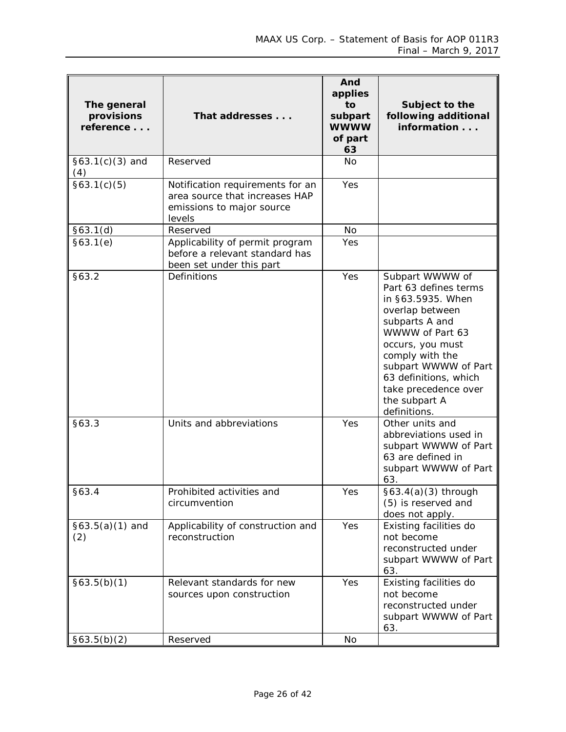| The general<br>provisions<br>reference | That addresses                                                                                            | And<br>applies<br>to<br>subpart<br><b>WWWW</b><br>of part<br>63 | Subject to the<br>following additional<br>information                                                                                                                                                                                                                  |
|----------------------------------------|-----------------------------------------------------------------------------------------------------------|-----------------------------------------------------------------|------------------------------------------------------------------------------------------------------------------------------------------------------------------------------------------------------------------------------------------------------------------------|
| $§63.1(c)(3)$ and<br>(4)               | Reserved                                                                                                  | No                                                              |                                                                                                                                                                                                                                                                        |
| §63.1(c)(5)                            | Notification requirements for an<br>area source that increases HAP<br>emissions to major source<br>levels | Yes                                                             |                                                                                                                                                                                                                                                                        |
| §63.1(d)                               | Reserved                                                                                                  | <b>No</b>                                                       |                                                                                                                                                                                                                                                                        |
| §63.1(e)                               | Applicability of permit program<br>before a relevant standard has<br>been set under this part             | Yes                                                             |                                                                                                                                                                                                                                                                        |
| §63.2                                  | Definitions                                                                                               | Yes                                                             | Subpart WWWW of<br>Part 63 defines terms<br>in §63.5935. When<br>overlap between<br>subparts A and<br>WWWW of Part 63<br>occurs, you must<br>comply with the<br>subpart WWWW of Part<br>63 definitions, which<br>take precedence over<br>the subpart A<br>definitions. |
| §63.3                                  | Units and abbreviations                                                                                   | Yes                                                             | Other units and<br>abbreviations used in<br>subpart WWWW of Part<br>63 are defined in<br>subpart WWWW of Part<br>63.                                                                                                                                                   |
| §63.4                                  | Prohibited activities and<br>circumvention                                                                | Yes                                                             | $§63.4(a)(3)$ through<br>(5) is reserved and<br>does not apply.                                                                                                                                                                                                        |
| $§63.5(a)(1)$ and<br>(2)               | Applicability of construction and<br>reconstruction                                                       | Yes                                                             | Existing facilities do<br>not become<br>reconstructed under<br>subpart WWWW of Part<br>63.                                                                                                                                                                             |
| §63.5(b)(1)                            | Relevant standards for new<br>sources upon construction                                                   | Yes                                                             | Existing facilities do<br>not become<br>reconstructed under<br>subpart WWWW of Part<br>63.                                                                                                                                                                             |
| §63.5(b)(2)                            | Reserved                                                                                                  | No                                                              |                                                                                                                                                                                                                                                                        |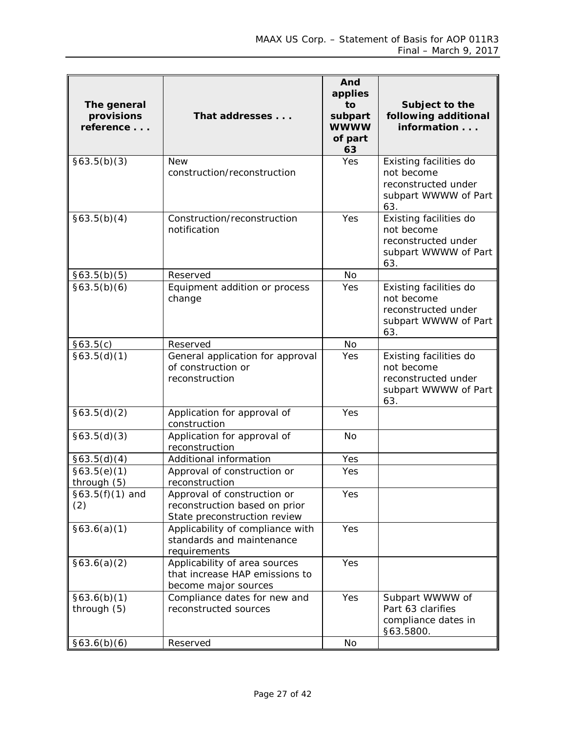| The general<br>provisions<br>reference | That addresses                                                                               | And<br>applies<br>to<br>subpart<br><b>WWWW</b><br>of part<br>63 | Subject to the<br>following additional<br>information                                      |
|----------------------------------------|----------------------------------------------------------------------------------------------|-----------------------------------------------------------------|--------------------------------------------------------------------------------------------|
| §63.5(b)(3)                            | <b>New</b><br>construction/reconstruction                                                    | Yes                                                             | Existing facilities do<br>not become<br>reconstructed under<br>subpart WWWW of Part<br>63. |
| §63.5(b)(4)                            | Construction/reconstruction<br>notification                                                  | Yes                                                             | Existing facilities do<br>not become<br>reconstructed under<br>subpart WWWW of Part<br>63. |
| §63.5(b)(5)                            | Reserved                                                                                     | <b>No</b>                                                       |                                                                                            |
| §63.5(b)(6)                            | Equipment addition or process<br>change                                                      | Yes                                                             | Existing facilities do<br>not become<br>reconstructed under<br>subpart WWWW of Part<br>63. |
| §63.5(c)                               | Reserved                                                                                     | <b>No</b>                                                       |                                                                                            |
| §63.5(d)(1)                            | General application for approval<br>of construction or<br>reconstruction                     | Yes                                                             | Existing facilities do<br>not become<br>reconstructed under<br>subpart WWWW of Part<br>63. |
| §63.5(d)(2)                            | Application for approval of<br>construction                                                  | Yes                                                             |                                                                                            |
| §63.5(d)(3)                            | Application for approval of<br>reconstruction                                                | <b>No</b>                                                       |                                                                                            |
| §63.5(d)(4)                            | Additional information                                                                       | Yes                                                             |                                                                                            |
| §63.5(e)(1)<br>through (5)             | Approval of construction or<br>reconstruction                                                | Yes                                                             |                                                                                            |
| $§63.5(f)(1)$ and<br>(2)               | Approval of construction or<br>reconstruction based on prior<br>State preconstruction review | Yes                                                             |                                                                                            |
| §63.6(a)(1)                            | Applicability of compliance with<br>standards and maintenance<br>requirements                | Yes                                                             |                                                                                            |
| §63.6(a)(2)                            | Applicability of area sources<br>that increase HAP emissions to<br>become major sources      | Yes                                                             |                                                                                            |
| §63.6(b)(1)<br>through (5)             | Compliance dates for new and<br>reconstructed sources                                        | Yes                                                             | Subpart WWWW of<br>Part 63 clarifies<br>compliance dates in<br>§63.5800.                   |
| §63.6(b)(6)                            | Reserved                                                                                     | <b>No</b>                                                       |                                                                                            |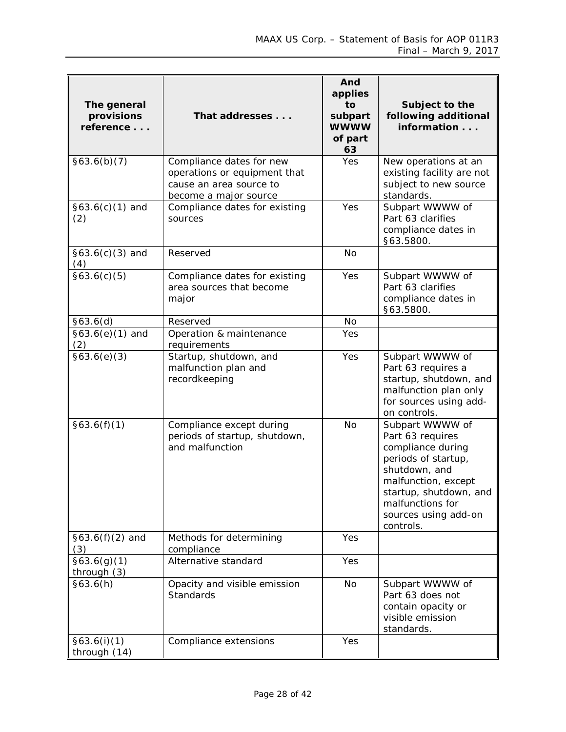| The general<br>provisions<br>reference | That addresses                                                                                               | And<br>applies<br>to<br>subpart<br><b>WWWW</b><br>of part<br>63 | Subject to the<br>following additional<br>information                                                                                                                                                      |
|----------------------------------------|--------------------------------------------------------------------------------------------------------------|-----------------------------------------------------------------|------------------------------------------------------------------------------------------------------------------------------------------------------------------------------------------------------------|
| §63.6(b)(7)                            | Compliance dates for new<br>operations or equipment that<br>cause an area source to<br>become a major source | Yes                                                             | New operations at an<br>existing facility are not<br>subject to new source<br>standards.                                                                                                                   |
| $§63.6(c)(1)$ and<br>(2)               | Compliance dates for existing<br>sources                                                                     | Yes                                                             | Subpart WWWW of<br>Part 63 clarifies<br>compliance dates in<br>§63.5800.                                                                                                                                   |
| $§63.6(c)(3)$ and<br>(4)               | Reserved                                                                                                     | <b>No</b>                                                       |                                                                                                                                                                                                            |
| §63.6(c)(5)                            | Compliance dates for existing<br>area sources that become<br>major                                           | Yes                                                             | Subpart WWWW of<br>Part 63 clarifies<br>compliance dates in<br>§63.5800.                                                                                                                                   |
| §63.6(d)                               | Reserved                                                                                                     | No                                                              |                                                                                                                                                                                                            |
| $$63.6(e)(1)$ and<br>(2)               | Operation & maintenance<br>requirements                                                                      | Yes                                                             |                                                                                                                                                                                                            |
| §63.6(e)(3)                            | Startup, shutdown, and<br>malfunction plan and<br>recordkeeping                                              | Yes                                                             | Subpart WWWW of<br>Part 63 requires a<br>startup, shutdown, and<br>malfunction plan only<br>for sources using add-<br>on controls.                                                                         |
| §63.6(f)(1)                            | Compliance except during<br>periods of startup, shutdown,<br>and malfunction                                 | <b>No</b>                                                       | Subpart WWWW of<br>Part 63 requires<br>compliance during<br>periods of startup,<br>shutdown, and<br>malfunction, except<br>startup, shutdown, and<br>malfunctions for<br>sources using add-on<br>controls. |
| $§63.6(f)(2)$ and<br>(3)               | Methods for determining<br>compliance                                                                        | Yes                                                             |                                                                                                                                                                                                            |
| §63.6(g)(1)<br>through (3)             | Alternative standard                                                                                         | Yes                                                             |                                                                                                                                                                                                            |
| §63.6(h)                               | Opacity and visible emission<br>Standards                                                                    | No                                                              | Subpart WWWW of<br>Part 63 does not<br>contain opacity or<br>visible emission<br>standards.                                                                                                                |
| §63.6(i)(1)<br>through (14)            | Compliance extensions                                                                                        | Yes                                                             |                                                                                                                                                                                                            |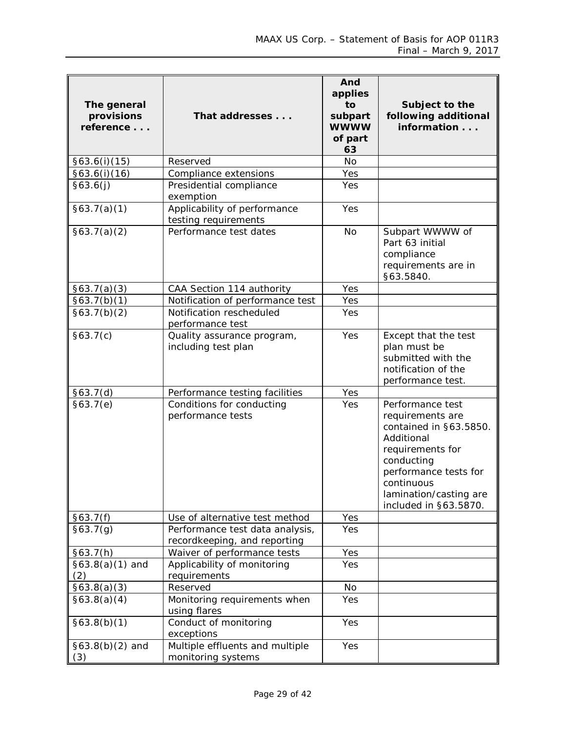| The general<br>provisions<br>reference | That addresses                                                  | And<br>applies<br>to<br>subpart<br><b>WWWW</b><br>of part<br>63 | Subject to the<br>following additional<br>information                                                                                                                                                    |
|----------------------------------------|-----------------------------------------------------------------|-----------------------------------------------------------------|----------------------------------------------------------------------------------------------------------------------------------------------------------------------------------------------------------|
| §63.6(i)(15)                           | Reserved                                                        | <b>No</b>                                                       |                                                                                                                                                                                                          |
| §63.6(i)(16)                           | Compliance extensions                                           | Yes                                                             |                                                                                                                                                                                                          |
| §63.6(j)                               | Presidential compliance<br>exemption                            | Yes                                                             |                                                                                                                                                                                                          |
| §63.7(a)(1)                            | Applicability of performance<br>testing requirements            | Yes                                                             |                                                                                                                                                                                                          |
| §63.7(a)(2)                            | Performance test dates                                          | <b>No</b>                                                       | Subpart WWWW of<br>Part 63 initial<br>compliance<br>requirements are in<br>§63.5840.                                                                                                                     |
| §63.7(a)(3)                            | CAA Section 114 authority                                       | Yes                                                             |                                                                                                                                                                                                          |
| 663.7(b)(1)                            | Notification of performance test                                | Yes                                                             |                                                                                                                                                                                                          |
| §63.7(b)(2)                            | Notification rescheduled<br>performance test                    | Yes                                                             |                                                                                                                                                                                                          |
| §63.7(c)                               | Quality assurance program,<br>including test plan               | Yes                                                             | Except that the test<br>plan must be<br>submitted with the<br>notification of the<br>performance test.                                                                                                   |
| §63.7(d)                               | Performance testing facilities                                  | Yes                                                             |                                                                                                                                                                                                          |
| §63.7(e)                               | Conditions for conducting<br>performance tests                  | Yes                                                             | Performance test<br>requirements are<br>contained in §63.5850.<br>Additional<br>requirements for<br>conducting<br>performance tests for<br>continuous<br>lamination/casting are<br>included in §63.5870. |
| §63.7(f)                               | Use of alternative test method                                  | Yes                                                             |                                                                                                                                                                                                          |
| §63.7(g)                               | Performance test data analysis,<br>recordkeeping, and reporting | Yes                                                             |                                                                                                                                                                                                          |
| §63.7(h)                               | Waiver of performance tests                                     | Yes                                                             |                                                                                                                                                                                                          |
| $§63.8(a)(1)$ and<br>(2)               | Applicability of monitoring<br>requirements                     | Yes                                                             |                                                                                                                                                                                                          |
| §63.8(a)(3)                            | Reserved                                                        | No                                                              |                                                                                                                                                                                                          |
| §63.8(a)(4)                            | Monitoring requirements when<br>using flares                    | Yes                                                             |                                                                                                                                                                                                          |
| §63.8(b)(1)                            | Conduct of monitoring<br>exceptions                             | Yes                                                             |                                                                                                                                                                                                          |
| $§63.8(b)(2)$ and<br>(3)               | Multiple effluents and multiple<br>monitoring systems           | Yes                                                             |                                                                                                                                                                                                          |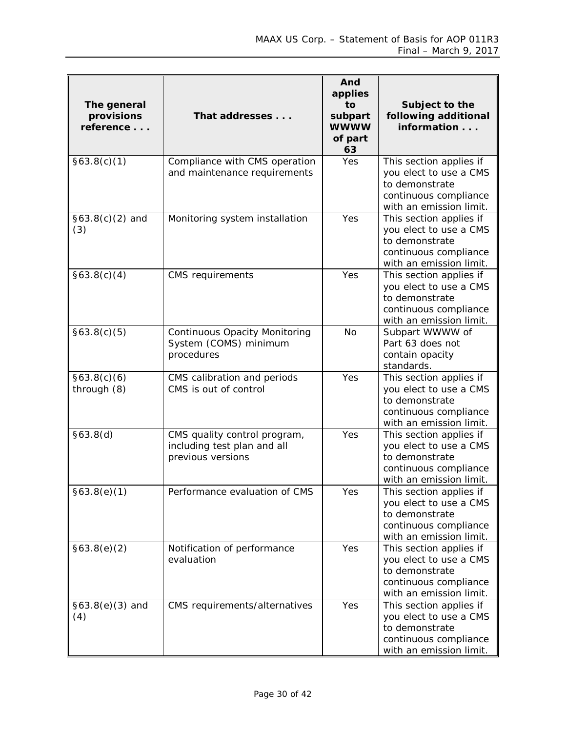| The general<br>provisions<br>reference | That addresses                                                                   | And<br>applies<br>to<br>subpart<br><b>WWWW</b><br>of part<br>63 | Subject to the<br>following additional<br>information                                                                   |
|----------------------------------------|----------------------------------------------------------------------------------|-----------------------------------------------------------------|-------------------------------------------------------------------------------------------------------------------------|
| §63.8(c)(1)                            | Compliance with CMS operation<br>and maintenance requirements                    | <b>Yes</b>                                                      | This section applies if<br>you elect to use a CMS<br>to demonstrate<br>continuous compliance<br>with an emission limit. |
| $§63.8(c)(2)$ and<br>(3)               | Monitoring system installation                                                   | Yes                                                             | This section applies if<br>you elect to use a CMS<br>to demonstrate<br>continuous compliance<br>with an emission limit. |
| §63.8(c)(4)                            | <b>CMS</b> requirements                                                          | Yes                                                             | This section applies if<br>you elect to use a CMS<br>to demonstrate<br>continuous compliance<br>with an emission limit. |
| §63.8(c)(5)                            | <b>Continuous Opacity Monitoring</b><br>System (COMS) minimum<br>procedures      | <b>No</b>                                                       | Subpart WWWW of<br>Part 63 does not<br>contain opacity<br>standards.                                                    |
| §63.8(c)(6)<br>through (8)             | CMS calibration and periods<br>CMS is out of control                             | Yes                                                             | This section applies if<br>you elect to use a CMS<br>to demonstrate<br>continuous compliance<br>with an emission limit. |
| §63.8(d)                               | CMS quality control program,<br>including test plan and all<br>previous versions | Yes                                                             | This section applies if<br>you elect to use a CMS<br>to demonstrate<br>continuous compliance<br>with an emission limit. |
| §63.8(e)(1)                            | Performance evaluation of CMS                                                    | Yes                                                             | This section applies if<br>you elect to use a CMS<br>to demonstrate<br>continuous compliance<br>with an emission limit. |
| §63.8(e)(2)                            | Notification of performance<br>evaluation                                        | Yes                                                             | This section applies if<br>you elect to use a CMS<br>to demonstrate<br>continuous compliance<br>with an emission limit. |
| $§63.8(e)(3)$ and<br>(4)               | CMS requirements/alternatives                                                    | Yes                                                             | This section applies if<br>you elect to use a CMS<br>to demonstrate<br>continuous compliance<br>with an emission limit. |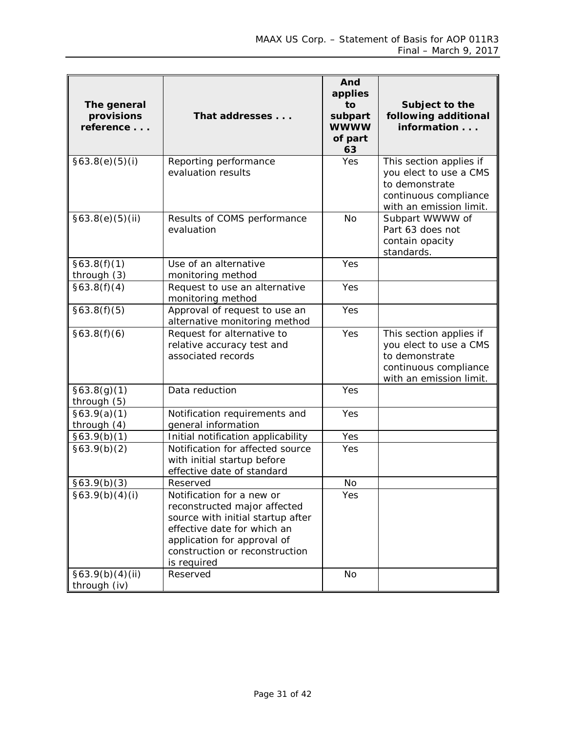| The general<br>provisions<br>reference | That addresses                                                                                                                                                                                                | And<br>applies<br>to<br>subpart<br><b>WWWW</b><br>of part<br>63 | Subject to the<br>following additional<br>information                                                                   |
|----------------------------------------|---------------------------------------------------------------------------------------------------------------------------------------------------------------------------------------------------------------|-----------------------------------------------------------------|-------------------------------------------------------------------------------------------------------------------------|
| §63.8(e)(5)(i)                         | Reporting performance<br>evaluation results                                                                                                                                                                   | Yes                                                             | This section applies if<br>you elect to use a CMS<br>to demonstrate<br>continuous compliance<br>with an emission limit. |
| §63.8(e)(5)(ii)                        | Results of COMS performance<br>evaluation                                                                                                                                                                     | <b>No</b>                                                       | Subpart WWWW of<br>Part 63 does not<br>contain opacity<br>standards.                                                    |
| §63.8(f)(1)<br>through (3)             | Use of an alternative<br>monitoring method                                                                                                                                                                    | Yes                                                             |                                                                                                                         |
| §63.8(f)(4)                            | Request to use an alternative<br>monitoring method                                                                                                                                                            | Yes                                                             |                                                                                                                         |
| §63.8(f)(5)                            | Approval of request to use an<br>alternative monitoring method                                                                                                                                                | Yes                                                             |                                                                                                                         |
| §63.8(f)(6)                            | Request for alternative to<br>relative accuracy test and<br>associated records                                                                                                                                | Yes                                                             | This section applies if<br>you elect to use a CMS<br>to demonstrate<br>continuous compliance<br>with an emission limit. |
| §63.8(g)(1)<br>through (5)             | Data reduction                                                                                                                                                                                                | Yes                                                             |                                                                                                                         |
| §63.9(a)(1)<br>through (4)             | Notification requirements and<br>general information                                                                                                                                                          | Yes                                                             |                                                                                                                         |
| §63.9(b)(1)                            | Initial notification applicability                                                                                                                                                                            | Yes                                                             |                                                                                                                         |
| §63.9(b)(2)                            | Notification for affected source<br>with initial startup before<br>effective date of standard                                                                                                                 | Yes                                                             |                                                                                                                         |
| §63.9(b)(3)                            | Reserved                                                                                                                                                                                                      | No                                                              |                                                                                                                         |
| §63.9(b)(4)(i)                         | Notification for a new or<br>reconstructed major affected<br>source with initial startup after<br>effective date for which an<br>application for approval of<br>construction or reconstruction<br>is required | Yes                                                             |                                                                                                                         |
| §63.9(b)(4)(ii)<br>through (iv)        | Reserved                                                                                                                                                                                                      | No                                                              |                                                                                                                         |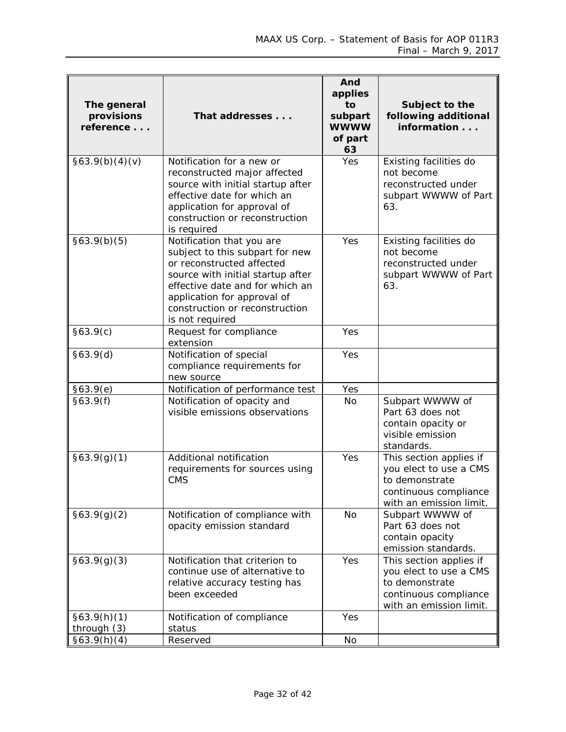| The general<br>provisions<br>reference | That addresses                                                                                                                                                                                                                                        | And<br>applies<br>to<br>subpart<br><b>WWWW</b><br>of part<br>63 | Subject to the<br>following additional<br>information                                                                   |
|----------------------------------------|-------------------------------------------------------------------------------------------------------------------------------------------------------------------------------------------------------------------------------------------------------|-----------------------------------------------------------------|-------------------------------------------------------------------------------------------------------------------------|
| §63.9(b)(4)(v)                         | Notification for a new or<br>reconstructed major affected<br>source with initial startup after<br>effective date for which an<br>application for approval of<br>construction or reconstruction<br>is required                                         | Yes                                                             | Existing facilities do<br>not become<br>reconstructed under<br>subpart WWWW of Part<br>63.                              |
| §63.9(b)(5)                            | Notification that you are<br>subject to this subpart for new<br>or reconstructed affected<br>source with initial startup after<br>effective date and for which an<br>application for approval of<br>construction or reconstruction<br>is not required | Yes                                                             | Existing facilities do<br>not become<br>reconstructed under<br>subpart WWWW of Part<br>63.                              |
| §63.9(c)                               | Request for compliance<br>extension                                                                                                                                                                                                                   | Yes                                                             |                                                                                                                         |
| §63.9(d)                               | Notification of special<br>compliance requirements for<br>new source                                                                                                                                                                                  | Yes                                                             |                                                                                                                         |
| §63.9(e)                               | Notification of performance test                                                                                                                                                                                                                      | Yes                                                             |                                                                                                                         |
| §63.9(f)                               | Notification of opacity and<br>visible emissions observations                                                                                                                                                                                         | No                                                              | Subpart WWWW of<br>Part 63 does not<br>contain opacity or<br>visible emission<br>standards.                             |
| §63.9(g)(1)                            | Additional notification<br>requirements for sources using<br><b>CMS</b>                                                                                                                                                                               | Yes                                                             | This section applies if<br>you elect to use a CMS<br>to demonstrate<br>continuous compliance<br>with an emission limit. |
| §63.9(g)(2)                            | Notification of compliance with<br>opacity emission standard                                                                                                                                                                                          | <b>No</b>                                                       | Subpart WWWW of<br>Part 63 does not<br>contain opacity<br>emission standards.                                           |
| §63.9(g)(3)                            | Notification that criterion to<br>continue use of alternative to<br>relative accuracy testing has<br>been exceeded                                                                                                                                    | Yes                                                             | This section applies if<br>you elect to use a CMS<br>to demonstrate<br>continuous compliance<br>with an emission limit. |
| §63.9(h)(1)                            | Notification of compliance                                                                                                                                                                                                                            | Yes                                                             |                                                                                                                         |
| through (3)                            | status                                                                                                                                                                                                                                                |                                                                 |                                                                                                                         |
| §63.9(h)(4)                            | Reserved                                                                                                                                                                                                                                              | No                                                              |                                                                                                                         |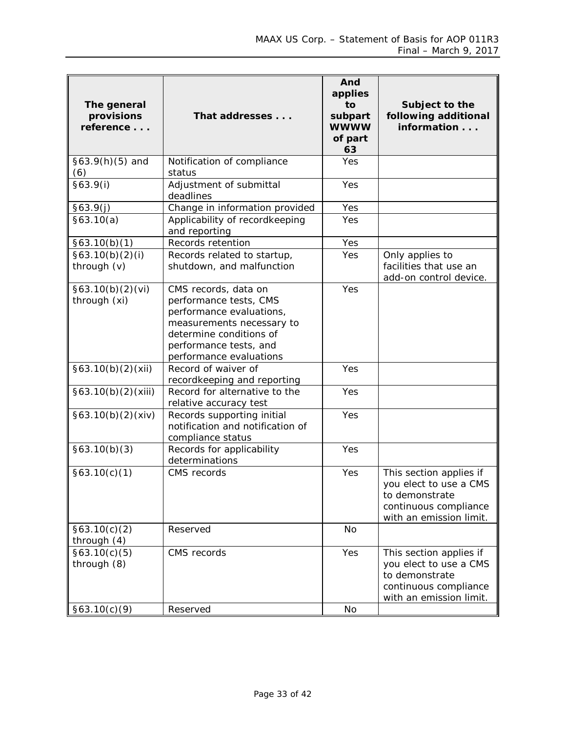| The general<br>provisions<br>reference | That addresses                                                                                                                                                                          | And<br>applies<br>to<br>subpart<br><b>WWWW</b><br>of part<br>63 | Subject to the<br>following additional<br>information                                                                   |
|----------------------------------------|-----------------------------------------------------------------------------------------------------------------------------------------------------------------------------------------|-----------------------------------------------------------------|-------------------------------------------------------------------------------------------------------------------------|
| $§63.9(h)(5)$ and<br>(6)               | Notification of compliance<br>status                                                                                                                                                    | Yes                                                             |                                                                                                                         |
| §63.9(i)                               | Adjustment of submittal<br>deadlines                                                                                                                                                    | Yes                                                             |                                                                                                                         |
| §63.9(j)                               | Change in information provided                                                                                                                                                          | Yes                                                             |                                                                                                                         |
| §63.10(a)                              | Applicability of recordkeeping<br>and reporting                                                                                                                                         | Yes                                                             |                                                                                                                         |
| §63.10(b)(1)                           | Records retention                                                                                                                                                                       | Yes                                                             |                                                                                                                         |
| §63.10(b)(2)(i)<br>through (v)         | Records related to startup,<br>shutdown, and malfunction                                                                                                                                | Yes                                                             | Only applies to<br>facilities that use an<br>add-on control device.                                                     |
| §63.10(b)(2)(vi)<br>through (xi)       | CMS records, data on<br>performance tests, CMS<br>performance evaluations,<br>measurements necessary to<br>determine conditions of<br>performance tests, and<br>performance evaluations | Yes                                                             |                                                                                                                         |
| §63.10(b)(2)(xii)                      | Record of waiver of<br>recordkeeping and reporting                                                                                                                                      | Yes                                                             |                                                                                                                         |
| §63.10(b)(2)(xiii)                     | Record for alternative to the<br>relative accuracy test                                                                                                                                 | Yes                                                             |                                                                                                                         |
| §63.10(b)(2)(xiv)                      | Records supporting initial<br>notification and notification of<br>compliance status                                                                                                     | Yes                                                             |                                                                                                                         |
| §63.10(b)(3)                           | Records for applicability<br>determinations                                                                                                                                             | Yes                                                             |                                                                                                                         |
| §63.10(c)(1)                           | CMS records                                                                                                                                                                             | Yes                                                             | This section applies if<br>you elect to use a CMS<br>to demonstrate<br>continuous compliance<br>with an emission limit. |
| §63.10(c)(2)<br>through $(4)$          | Reserved                                                                                                                                                                                | No                                                              |                                                                                                                         |
| §63.10(c)(5)<br>through (8)            | CMS records                                                                                                                                                                             | Yes                                                             | This section applies if<br>you elect to use a CMS<br>to demonstrate<br>continuous compliance<br>with an emission limit. |
| §63.10(c)(9)                           | Reserved                                                                                                                                                                                | <b>No</b>                                                       |                                                                                                                         |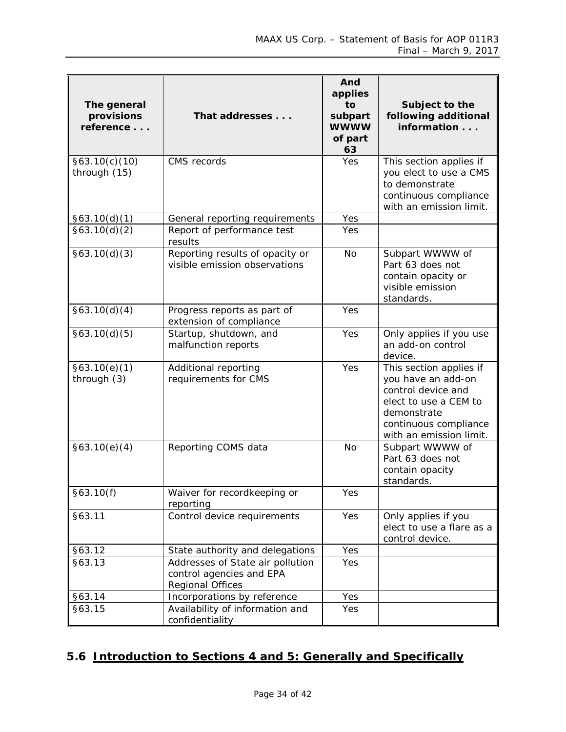| The general<br>provisions<br>reference | That addresses                                                                   | And<br>applies<br>to<br>subpart<br><b>WWWW</b><br>of part<br>63 | Subject to the<br>following additional<br>information                                                                                                           |
|----------------------------------------|----------------------------------------------------------------------------------|-----------------------------------------------------------------|-----------------------------------------------------------------------------------------------------------------------------------------------------------------|
| §63.10(c)(10)<br>through (15)          | CMS records                                                                      | Yes                                                             | This section applies if<br>you elect to use a CMS<br>to demonstrate<br>continuous compliance<br>with an emission limit.                                         |
| §63.10(d)(1)                           | General reporting requirements                                                   | Yes                                                             |                                                                                                                                                                 |
| §63.10(d)(2)                           | Report of performance test<br>results                                            | Yes                                                             |                                                                                                                                                                 |
| §63.10(d)(3)                           | Reporting results of opacity or<br>visible emission observations                 | No                                                              | Subpart WWWW of<br>Part 63 does not<br>contain opacity or<br>visible emission<br>standards.                                                                     |
| §63.10(d)(4)                           | Progress reports as part of<br>extension of compliance                           | Yes                                                             |                                                                                                                                                                 |
| §63.10(d)(5)                           | Startup, shutdown, and<br>malfunction reports                                    | Yes                                                             | Only applies if you use<br>an add-on control<br>device.                                                                                                         |
| §63.10(e)(1)<br>through (3)            | Additional reporting<br>requirements for CMS                                     | Yes                                                             | This section applies if<br>you have an add-on<br>control device and<br>elect to use a CEM to<br>demonstrate<br>continuous compliance<br>with an emission limit. |
| §63.10(e)(4)                           | Reporting COMS data                                                              | No                                                              | Subpart WWWW of<br>Part 63 does not<br>contain opacity<br>standards.                                                                                            |
| §63.10(f)                              | Waiver for recordkeeping or<br>reporting                                         | Yes                                                             |                                                                                                                                                                 |
| §63.11                                 | Control device requirements                                                      | Yes                                                             | Only applies if you<br>elect to use a flare as a<br>control device.                                                                                             |
| §63.12                                 | State authority and delegations                                                  | Yes                                                             |                                                                                                                                                                 |
| §63.13                                 | Addresses of State air pollution<br>control agencies and EPA<br>Regional Offices | Yes                                                             |                                                                                                                                                                 |
| §63.14                                 | Incorporations by reference                                                      | Yes                                                             |                                                                                                                                                                 |
| §63.15                                 | Availability of information and<br>confidentiality                               | Yes                                                             |                                                                                                                                                                 |

# <span id="page-33-0"></span>**5.6 Introduction to Sections 4 and 5: Generally and Specifically**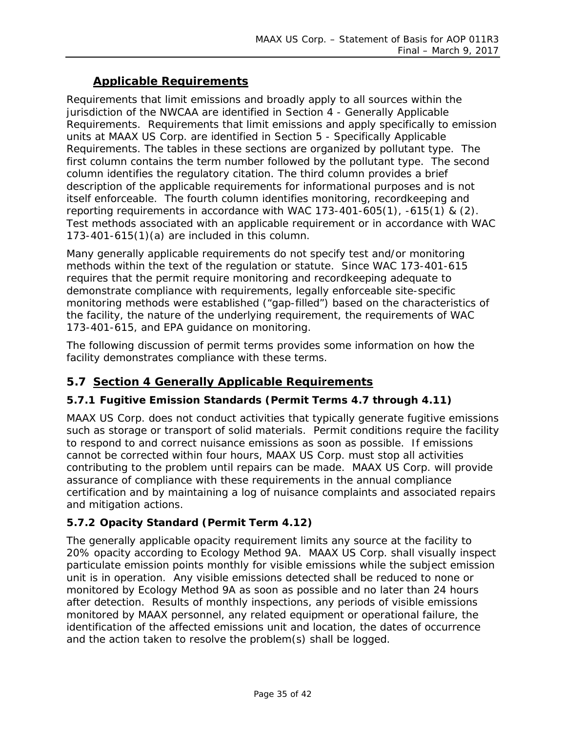#### **Applicable Requirements**

Requirements that limit emissions and broadly apply to all sources within the jurisdiction of the NWCAA are identified in Section 4 - Generally Applicable Requirements. Requirements that limit emissions and apply specifically to emission units at MAAX US Corp. are identified in Section 5 - Specifically Applicable Requirements. The tables in these sections are organized by pollutant type. The first column contains the term number followed by the pollutant type. The second column identifies the regulatory citation. The third column provides a brief description of the applicable requirements for informational purposes and is not itself enforceable. The fourth column identifies monitoring, recordkeeping and reporting requirements in accordance with WAC 173-401-605(1), -615(1) & (2). Test methods associated with an applicable requirement or in accordance with WAC 173-401-615(1)(a) are included in this column.

Many generally applicable requirements do not specify test and/or monitoring methods within the text of the regulation or statute. Since WAC 173-401-615 requires that the permit require monitoring and recordkeeping adequate to demonstrate compliance with requirements, legally enforceable site-specific monitoring methods were established ("gap-filled") based on the characteristics of the facility, the nature of the underlying requirement, the requirements of WAC 173-401-615, and EPA guidance on monitoring.

The following discussion of permit terms provides some information on how the facility demonstrates compliance with these terms.

#### <span id="page-34-0"></span>**5.7 Section 4 Generally Applicable Requirements**

#### **5.7.1 Fugitive Emission Standards (Permit Terms 4.7 through 4.11)**

MAAX US Corp. does not conduct activities that typically generate fugitive emissions such as storage or transport of solid materials. Permit conditions require the facility to respond to and correct nuisance emissions as soon as possible. If emissions cannot be corrected within four hours, MAAX US Corp. must stop all activities contributing to the problem until repairs can be made. MAAX US Corp. will provide assurance of compliance with these requirements in the annual compliance certification and by maintaining a log of nuisance complaints and associated repairs and mitigation actions.

#### **5.7.2 Opacity Standard (Permit Term 4.12)**

The generally applicable opacity requirement limits any source at the facility to 20% opacity according to Ecology Method 9A. MAAX US Corp. shall visually inspect particulate emission points monthly for visible emissions while the subject emission unit is in operation. Any visible emissions detected shall be reduced to none or monitored by Ecology Method 9A as soon as possible and no later than 24 hours after detection. Results of monthly inspections, any periods of visible emissions monitored by MAAX personnel, any related equipment or operational failure, the identification of the affected emissions unit and location, the dates of occurrence and the action taken to resolve the problem(s) shall be logged.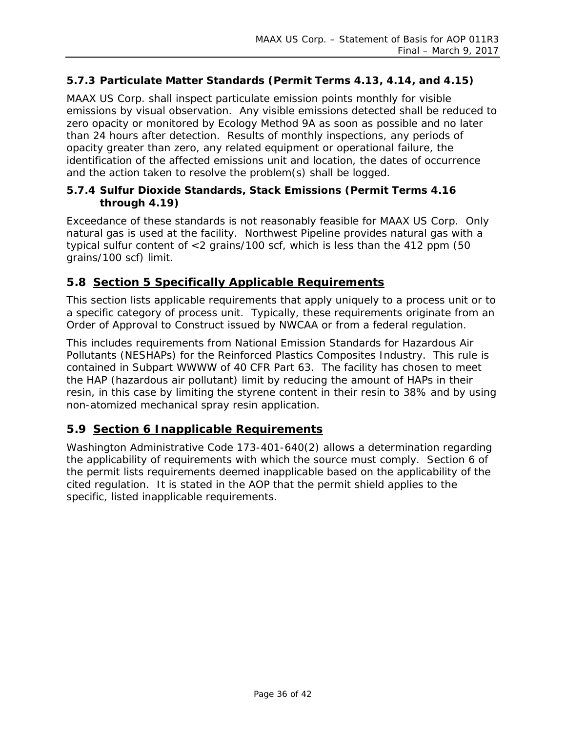#### **5.7.3 Particulate Matter Standards (Permit Terms 4.13, 4.14, and 4.15)**

MAAX US Corp. shall inspect particulate emission points monthly for visible emissions by visual observation. Any visible emissions detected shall be reduced to zero opacity or monitored by Ecology Method 9A as soon as possible and no later than 24 hours after detection. Results of monthly inspections, any periods of opacity greater than zero, any related equipment or operational failure, the identification of the affected emissions unit and location, the dates of occurrence and the action taken to resolve the problem(s) shall be logged.

#### **5.7.4 Sulfur Dioxide Standards, Stack Emissions (Permit Terms 4.16 through 4.19)**

Exceedance of these standards is not reasonably feasible for MAAX US Corp. Only natural gas is used at the facility. Northwest Pipeline provides natural gas with a typical sulfur content of <2 grains/100 scf, which is less than the 412 ppm (50 grains/100 scf) limit.

#### <span id="page-35-0"></span>**5.8 Section 5 Specifically Applicable Requirements**

This section lists applicable requirements that apply uniquely to a process unit or to a specific category of process unit. Typically, these requirements originate from an Order of Approval to Construct issued by NWCAA or from a federal regulation.

This includes requirements from National Emission Standards for Hazardous Air Pollutants (NESHAPs) for the Reinforced Plastics Composites Industry. This rule is contained in Subpart WWWW of 40 CFR Part 63. The facility has chosen to meet the HAP (hazardous air pollutant) limit by reducing the amount of HAPs in their resin, in this case by limiting the styrene content in their resin to 38% and by using non-atomized mechanical spray resin application.

#### <span id="page-35-1"></span>**5.9 Section 6 Inapplicable Requirements**

Washington Administrative Code 173-401-640(2) allows a determination regarding the applicability of requirements with which the source must comply. Section 6 of the permit lists requirements deemed inapplicable based on the applicability of the cited regulation. It is stated in the AOP that the permit shield applies to the specific, listed inapplicable requirements.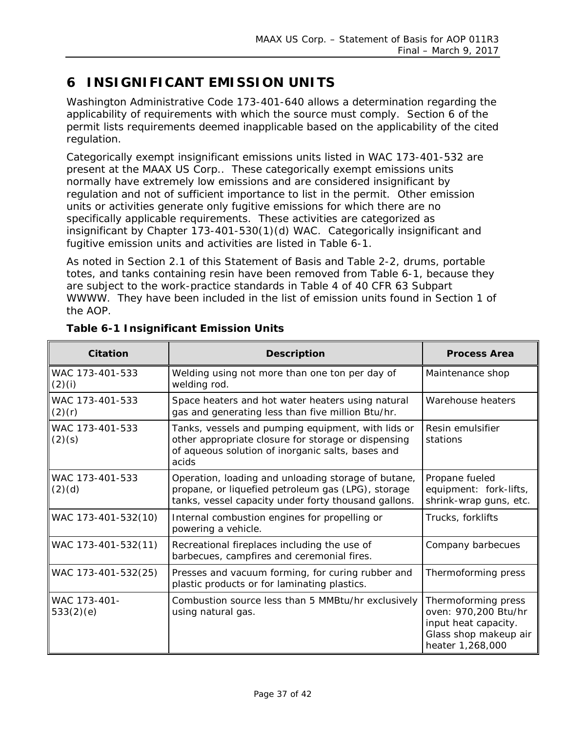# <span id="page-36-0"></span>**6 INSIGNIFICANT EMISSION UNITS**

Washington Administrative Code 173-401-640 allows a determination regarding the applicability of requirements with which the source must comply. Section 6 of the permit lists requirements deemed inapplicable based on the applicability of the cited regulation.

Categorically exempt insignificant emissions units listed in WAC 173-401-532 are present at the MAAX US Corp.. These categorically exempt emissions units normally have extremely low emissions and are considered insignificant by regulation and not of sufficient importance to list in the permit. Other emission units or activities generate only fugitive emissions for which there are no specifically applicable requirements. These activities are categorized as insignificant by Chapter 173-401-530(1)(d) WAC. Categorically insignificant and fugitive emission units and activities are listed in [Table 6-1.](#page-36-1)

As noted in Section 2.1 of this Statement of Basis and Table 2-2, drums, portable totes, and tanks containing resin have been removed from Table 6-1, because they are subject to the work-practice standards in Table 4 of 40 CFR 63 Subpart WWWW. They have been included in the list of emission units found in Section 1 of the AOP.

| Citation                  | <b>Description</b>                                                                                                                                                      | <b>Process Area</b>                                                                                              |
|---------------------------|-------------------------------------------------------------------------------------------------------------------------------------------------------------------------|------------------------------------------------------------------------------------------------------------------|
| WAC 173-401-533<br>(2)(i) | Welding using not more than one ton per day of<br>welding rod.                                                                                                          | Maintenance shop                                                                                                 |
| WAC 173-401-533<br>(2)(r) | Space heaters and hot water heaters using natural<br>gas and generating less than five million Btu/hr.                                                                  | Warehouse heaters                                                                                                |
| WAC 173-401-533<br>(2)(s) | Tanks, vessels and pumping equipment, with lids or<br>other appropriate closure for storage or dispensing<br>of aqueous solution of inorganic salts, bases and<br>acids | Resin emulsifier<br>stations                                                                                     |
| WAC 173-401-533<br>(2)(d) | Operation, loading and unloading storage of butane,<br>propane, or liquefied petroleum gas (LPG), storage<br>tanks, vessel capacity under forty thousand gallons.       | Propane fueled<br>equipment: fork-lifts,<br>shrink-wrap guns, etc.                                               |
| WAC 173-401-532(10)       | Internal combustion engines for propelling or<br>powering a vehicle.                                                                                                    | Trucks, forklifts                                                                                                |
| WAC 173-401-532(11)       | Recreational fireplaces including the use of<br>barbecues, campfires and ceremonial fires.                                                                              | Company barbecues                                                                                                |
| WAC 173-401-532(25)       | Presses and vacuum forming, for curing rubber and<br>plastic products or for laminating plastics.                                                                       | Thermoforming press                                                                                              |
| WAC 173-401-<br>533(2)(e) | Combustion source less than 5 MMBtu/hr exclusively<br>using natural gas.                                                                                                | Thermoforming press<br>oven: 970,200 Btu/hr<br>input heat capacity.<br>Glass shop makeup air<br>heater 1,268,000 |

#### <span id="page-36-1"></span>**Table 6-1 Insignificant Emission Units**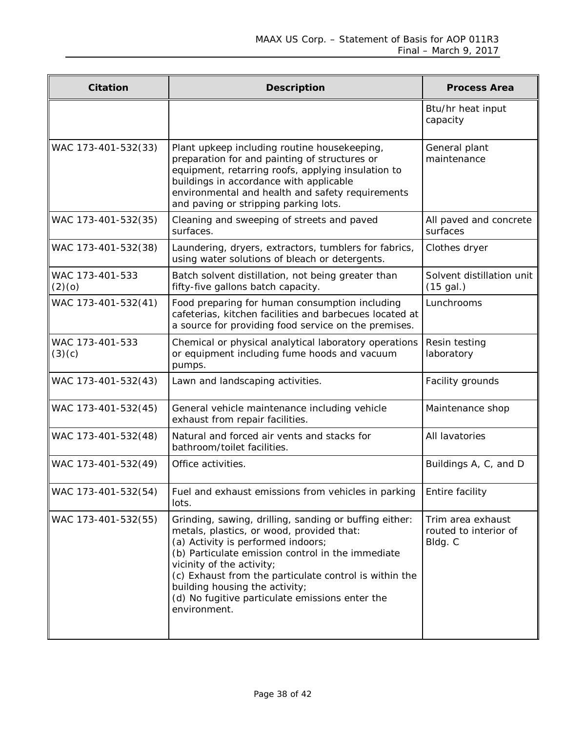| Citation                  | <b>Description</b>                                                                                                                                                                                                                                                                                                                                                                         | <b>Process Area</b>                                   |
|---------------------------|--------------------------------------------------------------------------------------------------------------------------------------------------------------------------------------------------------------------------------------------------------------------------------------------------------------------------------------------------------------------------------------------|-------------------------------------------------------|
|                           |                                                                                                                                                                                                                                                                                                                                                                                            | Btu/hr heat input<br>capacity                         |
| WAC 173-401-532(33)       | Plant upkeep including routine housekeeping,<br>preparation for and painting of structures or<br>equipment, retarring roofs, applying insulation to<br>buildings in accordance with applicable<br>environmental and health and safety requirements<br>and paving or stripping parking lots.                                                                                                | General plant<br>maintenance                          |
| WAC 173-401-532(35)       | Cleaning and sweeping of streets and paved<br>surfaces.                                                                                                                                                                                                                                                                                                                                    | All paved and concrete<br>surfaces                    |
| WAC 173-401-532(38)       | Laundering, dryers, extractors, tumblers for fabrics,<br>using water solutions of bleach or detergents.                                                                                                                                                                                                                                                                                    | Clothes dryer                                         |
| WAC 173-401-533<br>(2)(0) | Batch solvent distillation, not being greater than<br>fifty-five gallons batch capacity.                                                                                                                                                                                                                                                                                                   | Solvent distillation unit<br>$(15$ gal.)              |
| WAC 173-401-532(41)       | Food preparing for human consumption including<br>cafeterias, kitchen facilities and barbecues located at<br>a source for providing food service on the premises.                                                                                                                                                                                                                          | Lunchrooms                                            |
| WAC 173-401-533<br>(3)(c) | Chemical or physical analytical laboratory operations<br>or equipment including fume hoods and vacuum<br>pumps.                                                                                                                                                                                                                                                                            | Resin testing<br>laboratory                           |
| WAC 173-401-532(43)       | Lawn and landscaping activities.                                                                                                                                                                                                                                                                                                                                                           | Facility grounds                                      |
| WAC 173-401-532(45)       | General vehicle maintenance including vehicle<br>exhaust from repair facilities.                                                                                                                                                                                                                                                                                                           | Maintenance shop                                      |
| WAC 173-401-532(48)       | Natural and forced air vents and stacks for<br>bathroom/toilet facilities.                                                                                                                                                                                                                                                                                                                 | All lavatories                                        |
| WAC 173-401-532(49)       | Office activities.                                                                                                                                                                                                                                                                                                                                                                         | Buildings A, C, and D                                 |
| WAC 173-401-532(54)       | Fuel and exhaust emissions from vehicles in parking<br>lots.                                                                                                                                                                                                                                                                                                                               | Entire facility                                       |
| WAC 173-401-532(55)       | Grinding, sawing, drilling, sanding or buffing either:<br>metals, plastics, or wood, provided that:<br>(a) Activity is performed indoors;<br>(b) Particulate emission control in the immediate<br>vicinity of the activity;<br>(c) Exhaust from the particulate control is within the<br>building housing the activity;<br>(d) No fugitive particulate emissions enter the<br>environment. | Trim area exhaust<br>routed to interior of<br>Bldg. C |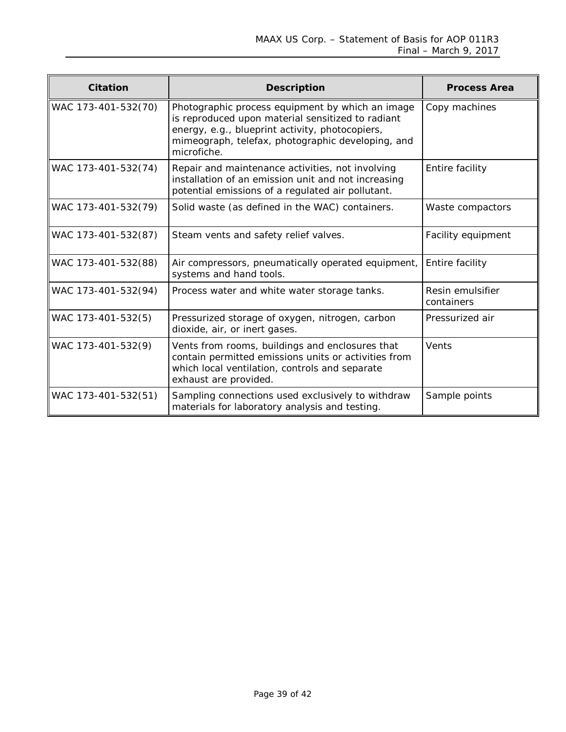| Citation            | <b>Description</b>                                                                                                                                                                                                           | <b>Process Area</b>            |
|---------------------|------------------------------------------------------------------------------------------------------------------------------------------------------------------------------------------------------------------------------|--------------------------------|
| WAC 173-401-532(70) | Photographic process equipment by which an image<br>is reproduced upon material sensitized to radiant<br>energy, e.g., blueprint activity, photocopiers,<br>mimeograph, telefax, photographic developing, and<br>microfiche. | Copy machines                  |
| WAC 173-401-532(74) | Repair and maintenance activities, not involving<br>installation of an emission unit and not increasing<br>potential emissions of a regulated air pollutant.                                                                 | Entire facility                |
| WAC 173-401-532(79) | Solid waste (as defined in the WAC) containers.                                                                                                                                                                              | Waste compactors               |
| WAC 173-401-532(87) | Steam vents and safety relief valves.                                                                                                                                                                                        | Facility equipment             |
| WAC 173-401-532(88) | Air compressors, pneumatically operated equipment,<br>systems and hand tools.                                                                                                                                                | Entire facility                |
| WAC 173-401-532(94) | Process water and white water storage tanks.                                                                                                                                                                                 | Resin emulsifier<br>containers |
| WAC 173-401-532(5)  | Pressurized storage of oxygen, nitrogen, carbon<br>dioxide, air, or inert gases.                                                                                                                                             | Pressurized air                |
| WAC 173-401-532(9)  | Vents from rooms, buildings and enclosures that<br>contain permitted emissions units or activities from<br>which local ventilation, controls and separate<br>exhaust are provided.                                           | Vents                          |
| WAC 173-401-532(51) | Sampling connections used exclusively to withdraw<br>materials for laboratory analysis and testing.                                                                                                                          | Sample points                  |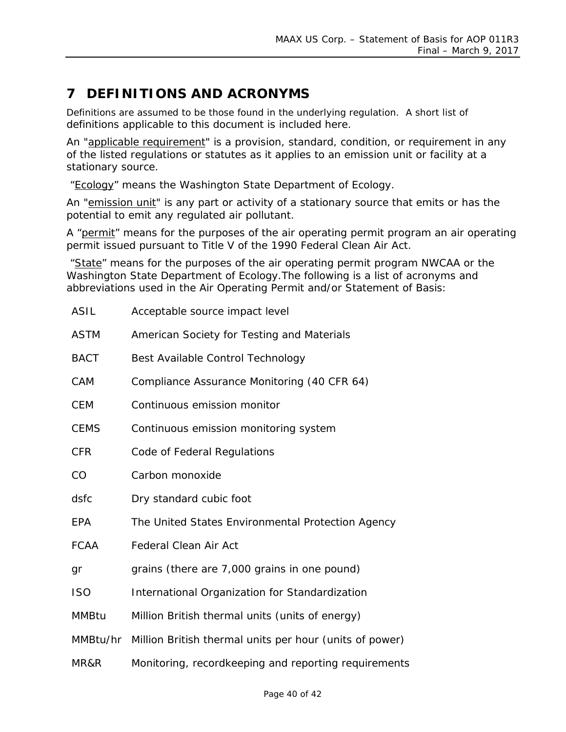# <span id="page-39-0"></span>**7 DEFINITIONS AND ACRONYMS**

Definitions are assumed to be those found in the underlying regulation. A short list of definitions applicable to this document is included here.

An "applicable requirement" is a provision, standard, condition, or requirement in any of the listed regulations or statutes as it applies to an emission unit or facility at a stationary source.

"Ecology" means the Washington State Department of Ecology.

An "emission unit" is any part or activity of a stationary source that emits or has the potential to emit any regulated air pollutant.

A "permit" means for the purposes of the air operating permit program an air operating permit issued pursuant to Title V of the 1990 Federal Clean Air Act.

"State" means for the purposes of the air operating permit program NWCAA or the Washington State Department of Ecology.The following is a list of acronyms and abbreviations used in the Air Operating Permit and/or Statement of Basis:

| <b>ASIL</b>  | Acceptable source impact level                                   |
|--------------|------------------------------------------------------------------|
| <b>ASTM</b>  | American Society for Testing and Materials                       |
| <b>BACT</b>  | Best Available Control Technology                                |
| CAM          | Compliance Assurance Monitoring (40 CFR 64)                      |
| <b>CEM</b>   | Continuous emission monitor                                      |
| <b>CEMS</b>  | Continuous emission monitoring system                            |
| <b>CFR</b>   | Code of Federal Regulations                                      |
| CO           | Carbon monoxide                                                  |
| dsfc         | Dry standard cubic foot                                          |
| <b>EPA</b>   | The United States Environmental Protection Agency                |
| <b>FCAA</b>  | <b>Federal Clean Air Act</b>                                     |
| gr           | grains (there are 7,000 grains in one pound)                     |
| <b>ISO</b>   | International Organization for Standardization                   |
| <b>MMBtu</b> | Million British thermal units (units of energy)                  |
|              | MMBtu/hr Million British thermal units per hour (units of power) |
| MR&R         | Monitoring, recordkeeping and reporting requirements             |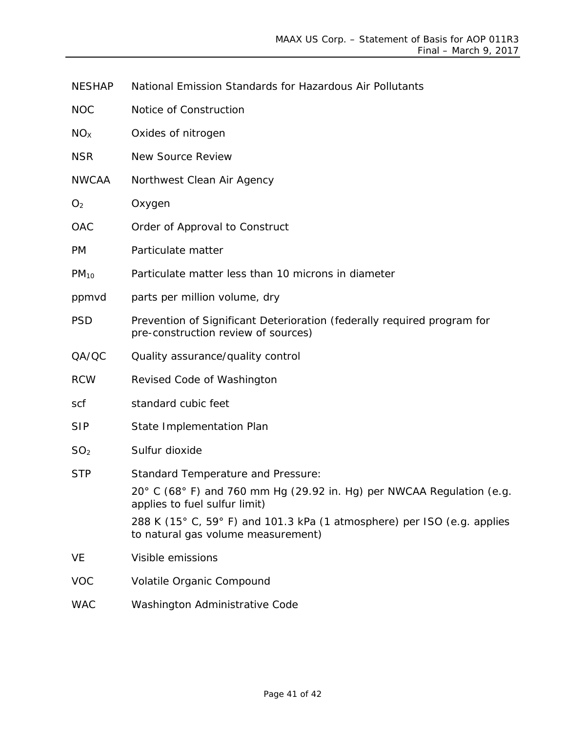|  | <b>NOC</b> | Notice of Construction |
|--|------------|------------------------|
|--|------------|------------------------|

| NO <sub>X</sub><br>Oxides of nitrogen |
|---------------------------------------|
|---------------------------------------|

- NSR New Source Review
- NWCAA Northwest Clean Air Agency
- O<sub>2</sub> Oxygen
- OAC Order of Approval to Construct
- PM Particulate matter
- $PM<sub>10</sub>$  Particulate matter less than 10 microns in diameter
- ppmvd parts per million volume, dry
- PSD Prevention of Significant Deterioration (federally required program for pre-construction review of sources)
- QA/QC Quality assurance/quality control
- RCW Revised Code of Washington
- scf standard cubic feet
- SIP State Implementation Plan
- SO<sub>2</sub> Sulfur dioxide
- STP Standard Temperature and Pressure:

20° C (68° F) and 760 mm Hg (29.92 in. Hg) per NWCAA Regulation (e.g. applies to fuel sulfur limit)

288 K (15° C, 59° F) and 101.3 kPa (1 atmosphere) per ISO (e.g. applies to natural gas volume measurement)

- VE Visible emissions
- VOC Volatile Organic Compound
- WAC Washington Administrative Code